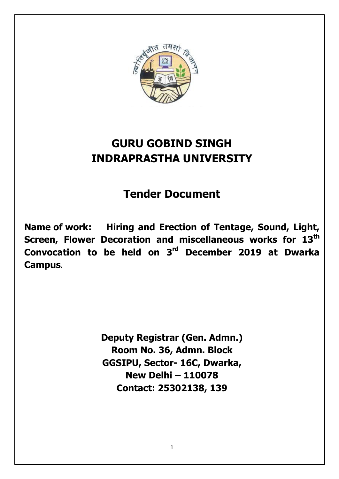

# **GURU GOBIND SINGH INDRAPRASTHA UNIVERSITY**

# **Tender Document**

**Name of work: Hiring and Erection of Tentage, Sound, Light, Screen, Flower Decoration and miscellaneous works for 13th Convocation to be held on 3rd December 2019 at Dwarka Campus.**

> **Deputy Registrar (Gen. Admn.) Room No. 36, Admn. Block GGSIPU, Sector- 16C, Dwarka, New Delhi – 110078 Contact: 25302138, 139**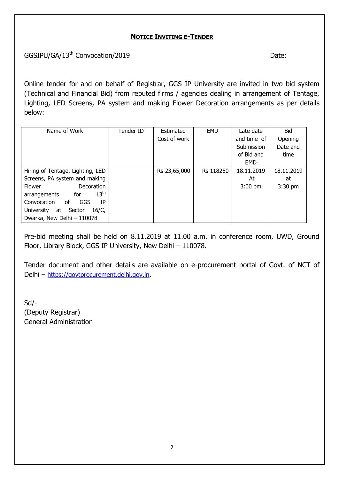#### **NOTICE INVITING E-TENDER**

GGSIPU/GA/13<sup>th</sup> Convocation/2019 **Date:** Date:

Online tender for and on behalf of Registrar, GGS IP University are invited in two bid system (Technical and Financial Bid) from reputed firms / agencies dealing in arrangement of Tentage, Lighting, LED Screens, PA system and making Flower Decoration arrangements as per details below:

| Name of Work                            | Tender ID | Estimated    | <b>EMD</b> | Late date   | <b>Bid</b> |
|-----------------------------------------|-----------|--------------|------------|-------------|------------|
|                                         |           | Cost of work |            | and time of | Opening    |
|                                         |           |              |            | Submission  | Date and   |
|                                         |           |              |            | of Bid and  | time       |
|                                         |           |              |            | EMD         |            |
| Hiring of Tentage, Lighting, LED        |           | Rs 23,65,000 | Rs 118250  | 18.11.2019  | 18.11.2019 |
| Screens, PA system and making           |           |              |            | At          | at         |
| Decoration<br><b>Flower</b>             |           |              |            | $3:00$ pm   | $3:30$ pm  |
| 13 <sup>th</sup><br>for<br>arrangements |           |              |            |             |            |
| GGS<br>Convocation<br>ΙP<br>оf          |           |              |            |             |            |
| Sector<br>University<br>$16/C$ ,<br>at  |           |              |            |             |            |
| Dwarka, New Delhi - 110078              |           |              |            |             |            |

Pre-bid meeting shall be held on 8.11.2019 at 11.00 a.m. in conference room, UWD, Ground Floor, Library Block, GGS IP University, New Delhi – 110078.

Tender document and other details are available on e-procurement portal of Govt. of NCT of Delhi – [https://govtprocurement.delhi.gov.in](https://govtprocurement.delhi.gov.in/).

Sd/- (Deputy Registrar) General Administration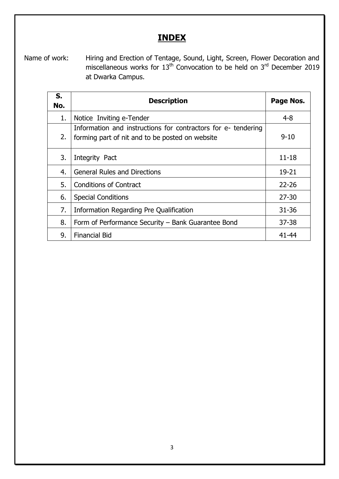## **INDEX**

Name of work: Hiring and Erection of Tentage, Sound, Light, Screen, Flower Decoration and miscellaneous works for  $13<sup>th</sup>$  Convocation to be held on  $3<sup>rd</sup>$  December 2019 at Dwarka Campus.

| S.<br>No. | <b>Description</b>                                                                                               | Page Nos. |
|-----------|------------------------------------------------------------------------------------------------------------------|-----------|
| 1.        | Notice Inviting e-Tender                                                                                         | $4 - 8$   |
| 2.        | Information and instructions for contractors for e- tendering<br>forming part of nit and to be posted on website | $9 - 10$  |
| 3.        | Integrity Pact                                                                                                   | $11 - 18$ |
| 4.        | <b>General Rules and Directions</b>                                                                              | 19-21     |
| 5.        | <b>Conditions of Contract</b>                                                                                    | $22 - 26$ |
| 6.        | <b>Special Conditions</b>                                                                                        | $27 - 30$ |
| 7.        | Information Regarding Pre Qualification                                                                          | $31 - 36$ |
| 8.        | Form of Performance Security - Bank Guarantee Bond                                                               | $37 - 38$ |
| 9.        | <b>Financial Bid</b>                                                                                             | 41-44     |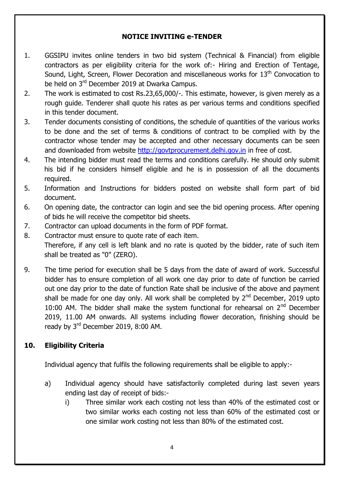#### **NOTICE INVITING e-TENDER**

- 1. GGSIPU invites online tenders in two bid system (Technical & Financial) from eligible contractors as per eligibility criteria for the work of:- Hiring and Erection of Tentage, Sound, Light, Screen, Flower Decoration and miscellaneous works for 13<sup>th</sup> Convocation to be held on 3rd December 2019 at Dwarka Campus.
- 2. The work is estimated to cost Rs.23,65,000/-. This estimate, however, is given merely as a rough guide. Tenderer shall quote his rates as per various terms and conditions specified in this tender document.
- 3. Tender documents consisting of conditions, the schedule of quantities of the various works to be done and the set of terms & conditions of contract to be complied with by the contractor whose tender may be accepted and other necessary documents can be seen and downloaded from website [http://govtprocurement.delhi.gov.in](http://govtprocurement.delhi.gov.in/) in free of cost.
- 4. The intending bidder must read the terms and conditions carefully. He should only submit his bid if he considers himself eligible and he is in possession of all the documents required.
- 5. Information and Instructions for bidders posted on website shall form part of bid document.
- 6. On opening date, the contractor can login and see the bid opening process. After opening of bids he will receive the competitor bid sheets.
- 7. Contractor can upload documents in the form of PDF format.
- 8. Contractor must ensure to quote rate of each item. Therefore, if any cell is left blank and no rate is quoted by the bidder, rate of such item shall be treated as "0" (ZERO).
- 9. The time period for execution shall be 5 days from the date of award of work. Successful bidder has to ensure completion of all work one day prior to date of function be carried out one day prior to the date of function Rate shall be inclusive of the above and payment shall be made for one day only. All work shall be completed by  $2<sup>nd</sup>$  December, 2019 upto 10:00 AM. The bidder shall make the system functional for rehearsal on  $2<sup>nd</sup>$  December 2019, 11.00 AM onwards. All systems including flower decoration, finishing should be ready by 3<sup>rd</sup> December 2019, 8:00 AM.

#### **10. Eligibility Criteria**

Individual agency that fulfils the following requirements shall be eligible to apply:-

- a) Individual agency should have satisfactorily completed during last seven years ending last day of receipt of bids:
	- i) Three similar work each costing not less than 40% of the estimated cost or two similar works each costing not less than 60% of the estimated cost or one similar work costing not less than 80% of the estimated cost.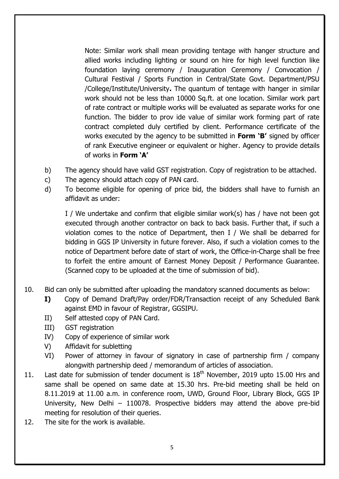Note: Similar work shall mean providing tentage with hanger structure and allied works including lighting or sound on hire for high level function like foundation laying ceremony / Inauguration Ceremony / Convocation / Cultural Festival / Sports Function in Central/State Govt. Department/PSU /College/Institute/University**.** The quantum of tentage with hanger in similar work should not be less than 10000 Sq.ft. at one location. Similar work part of rate contract or multiple works will be evaluated as separate works for one function. The bidder to prov ide value of similar work forming part of rate contract completed duly certified by client. Performance certificate of the works executed by the agency to be submitted in **Form 'B'** signed by officer of rank Executive engineer or equivalent or higher. Agency to provide details of works in **Form 'A'**

- b) The agency should have valid GST registration. Copy of registration to be attached.
- c) The agency should attach copy of PAN card.
- d) To become eligible for opening of price bid, the bidders shall have to furnish an affidavit as under:

I / We undertake and confirm that eligible similar work(s) has / have not been got executed through another contractor on back to back basis. Further that, if such a violation comes to the notice of Department, then I / We shall be debarred for bidding in GGS IP University in future forever. Also, if such a violation comes to the notice of Department before date of start of work, the Office-in-Charge shall be free to forfeit the entire amount of Earnest Money Deposit / Performance Guarantee. (Scanned copy to be uploaded at the time of submission of bid).

- 10. Bid can only be submitted after uploading the mandatory scanned documents as below:
	- **I)** Copy of Demand Draft/Pay order/FDR/Transaction receipt of any Scheduled Bank against EMD in favour of Registrar, GGSIPU.
	- II) Self attested copy of PAN Card.
	- III) GST registration
	- IV) Copy of experience of similar work
	- V) Affidavit for subletting
	- VI) Power of attorney in favour of signatory in case of partnership firm / company alongwith partnership deed / memorandum of articles of association.
- 11. Last date for submission of tender document is  $18<sup>th</sup>$  November, 2019 upto 15.00 Hrs and same shall be opened on same date at 15.30 hrs. Pre-bid meeting shall be held on 8.11.2019 at 11.00 a.m. in conference room, UWD, Ground Floor, Library Block, GGS IP University, New Delhi – 110078. Prospective bidders may attend the above pre-bid meeting for resolution of their queries.
- 12. The site for the work is available.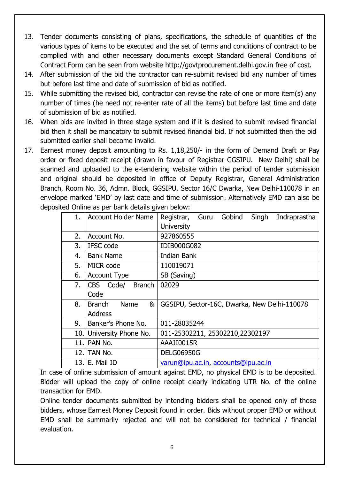- 13. Tender documents consisting of plans, specifications, the schedule of quantities of the various types of items to be executed and the set of terms and conditions of contract to be complied with and other necessary documents except Standard General Conditions of Contract Form can be seen from website [http://govtprocurement.delhi.gov.in](http://www.govtprocurement.delhi.gov.in/) free of cost.
- 14. After submission of the bid the contractor can re-submit revised bid any number of times but before last time and date of submission of bid as notified.
- 15. While submitting the revised bid, contractor can revise the rate of one or more item(s) any number of times (he need not re-enter rate of all the items) but before last time and date of submission of bid as notified.
- 16. When bids are invited in three stage system and if it is desired to submit revised financial bid then it shall be mandatory to submit revised financial bid. If not submitted then the bid submitted earlier shall become invalid.
- 17. Earnest money deposit amounting to Rs. 1,18,250/- in the form of Demand Draft or Pay order or fixed deposit receipt (drawn in favour of Registrar GGSIPU. New Delhi) shall be scanned and uploaded to the e-tendering website within the period of tender submission and original should be deposited in office of Deputy Registrar, General Administration Branch, Room No. 36, Admn. Block, GGSIPU, Sector 16/C Dwarka, New Delhi-110078 in an envelope marked 'EMD' by last date and time of submission. Alternatively EMD can also be deposited Online as per bank details given below:

| 1.   | <b>Account Holder Name</b>           | Gobind<br>Singh<br>Registrar, Guru<br>Indraprastha |
|------|--------------------------------------|----------------------------------------------------|
|      |                                      | University                                         |
| 2.   | Account No.                          | 927860555                                          |
| 3.   | <b>IFSC</b> code                     | <b>IDIB000G082</b>                                 |
| 4.   | <b>Bank Name</b>                     | Indian Bank                                        |
| 5.   | MICR code                            | 110019071                                          |
| 6.   | <b>Account Type</b>                  | SB (Saving)                                        |
| 7.   | Code/<br><b>Branch</b><br><b>CBS</b> | 02029                                              |
|      | Code                                 |                                                    |
| 8.   | <b>Branch</b><br>&<br>Name           | GGSIPU, Sector-16C, Dwarka, New Delhi-110078       |
|      | <b>Address</b>                       |                                                    |
| 9.   | Banker's Phone No.                   | 011-28035244                                       |
| 10.  | University Phone No.                 | 011-25302211, 25302210, 22302197                   |
| 11.l | PAN No.                              | AAAJI0015R                                         |
| 12.l | TAN No.                              | <b>DELG06950G</b>                                  |
| 13.  | E. Mail ID                           | varun@ipu.ac.in, accounts@ipu.ac.in                |

In case of online submission of amount against EMD, no physical EMD is to be deposited. Bidder will upload the copy of online receipt clearly indicating UTR No. of the online transaction for EMD.

Online tender documents submitted by intending bidders shall be opened only of those bidders, whose Earnest Money Deposit found in order. Bids without proper EMD or without EMD shall be summarily rejected and will not be considered for technical / financial evaluation.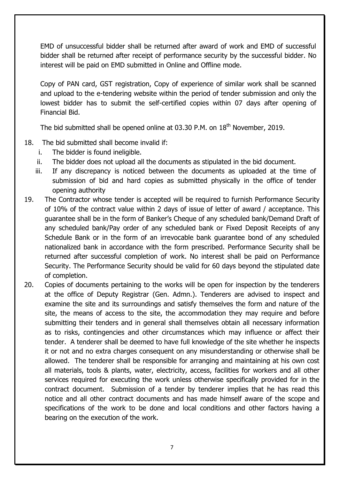EMD of unsuccessful bidder shall be returned after award of work and EMD of successful bidder shall be returned after receipt of performance security by the successful bidder. No interest will be paid on EMD submitted in Online and Offline mode.

Copy of PAN card, GST registration, Copy of experience of similar work shall be scanned and upload to the e-tendering website within the period of tender submission and only the lowest bidder has to submit the self-certified copies within 07 days after opening of Financial Bid.

The bid submitted shall be opened online at 03.30 P.M. on  $18<sup>th</sup>$  November, 2019.

#### 18. The bid submitted shall become invalid if:

- i. The bidder is found ineligible.
- ii. The bidder does not upload all the documents as stipulated in the bid document.
- iii. If any discrepancy is noticed between the documents as uploaded at the time of submission of bid and hard copies as submitted physically in the office of tender opening authority
- 19. The Contractor whose tender is accepted will be required to furnish Performance Security of 10% of the contract value within 2 days of issue of letter of award / acceptance. This guarantee shall be in the form of Banker's Cheque of any scheduled bank/Demand Draft of any scheduled bank/Pay order of any scheduled bank or Fixed Deposit Receipts of any Schedule Bank or in the form of an irrevocable bank guarantee bond of any scheduled nationalized bank in accordance with the form prescribed. Performance Security shall be returned after successful completion of work. No interest shall be paid on Performance Security. The Performance Security should be valid for 60 days beyond the stipulated date of completion.
- 20. Copies of documents pertaining to the works will be open for inspection by the tenderers at the office of Deputy Registrar (Gen. Admn.). Tenderers are advised to inspect and examine the site and its surroundings and satisfy themselves the form and nature of the site, the means of access to the site, the accommodation they may require and before submitting their tenders and in general shall themselves obtain all necessary information as to risks, contingencies and other circumstances which may influence or affect their tender. A tenderer shall be deemed to have full knowledge of the site whether he inspects it or not and no extra charges consequent on any misunderstanding or otherwise shall be allowed. The tenderer shall be responsible for arranging and maintaining at his own cost all materials, tools & plants, water, electricity, access, facilities for workers and all other services required for executing the work unless otherwise specifically provided for in the contract document. Submission of a tender by tenderer implies that he has read this notice and all other contract documents and has made himself aware of the scope and specifications of the work to be done and local conditions and other factors having a bearing on the execution of the work.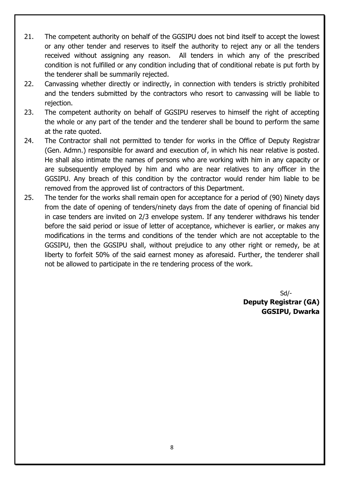- 21. The competent authority on behalf of the GGSIPU does not bind itself to accept the lowest or any other tender and reserves to itself the authority to reject any or all the tenders received without assigning any reason. All tenders in which any of the prescribed condition is not fulfilled or any condition including that of conditional rebate is put forth by the tenderer shall be summarily rejected.
- 22. Canvassing whether directly or indirectly, in connection with tenders is strictly prohibited and the tenders submitted by the contractors who resort to canvassing will be liable to rejection.
- 23. The competent authority on behalf of GGSIPU reserves to himself the right of accepting the whole or any part of the tender and the tenderer shall be bound to perform the same at the rate quoted.
- 24. The Contractor shall not permitted to tender for works in the Office of Deputy Registrar (Gen. Admn.) responsible for award and execution of, in which his near relative is posted. He shall also intimate the names of persons who are working with him in any capacity or are subsequently employed by him and who are near relatives to any officer in the GGSIPU. Any breach of this condition by the contractor would render him liable to be removed from the approved list of contractors of this Department.
- 25. The tender for the works shall remain open for acceptance for a period of (90) Ninety days from the date of opening of tenders/ninety days from the date of opening of financial bid in case tenders are invited on 2/3 envelope system. If any tenderer withdraws his tender before the said period or issue of letter of acceptance, whichever is earlier, or makes any modifications in the terms and conditions of the tender which are not acceptable to the GGSIPU, then the GGSIPU shall, without prejudice to any other right or remedy, be at liberty to forfeit 50% of the said earnest money as aforesaid. Further, the tenderer shall not be allowed to participate in the re tendering process of the work.

 Sd/- **Deputy Registrar (GA) GGSIPU, Dwarka**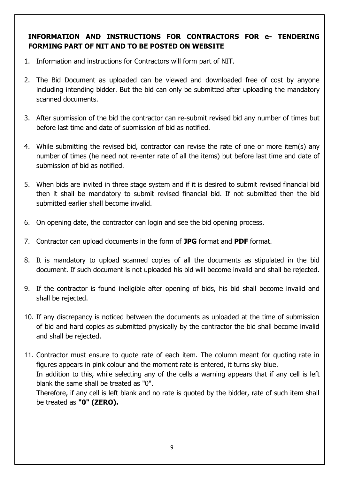#### **INFORMATION AND INSTRUCTIONS FOR CONTRACTORS FOR e- TENDERING FORMING PART OF NIT AND TO BE POSTED ON WEBSITE**

- 1. Information and instructions for Contractors will form part of NIT.
- 2. The Bid Document as uploaded can be viewed and downloaded free of cost by anyone including intending bidder. But the bid can only be submitted after uploading the mandatory scanned documents.
- 3. After submission of the bid the contractor can re-submit revised bid any number of times but before last time and date of submission of bid as notified.
- 4. While submitting the revised bid, contractor can revise the rate of one or more item(s) any number of times (he need not re-enter rate of all the items) but before last time and date of submission of bid as notified.
- 5. When bids are invited in three stage system and if it is desired to submit revised financial bid then it shall be mandatory to submit revised financial bid. If not submitted then the bid submitted earlier shall become invalid.
- 6. On opening date, the contractor can login and see the bid opening process.
- 7. Contractor can upload documents in the form of **JPG** format and **PDF** format.
- 8. It is mandatory to upload scanned copies of all the documents as stipulated in the bid document. If such document is not uploaded his bid will become invalid and shall be rejected.
- 9. If the contractor is found ineligible after opening of bids, his bid shall become invalid and shall be rejected.
- 10. If any discrepancy is noticed between the documents as uploaded at the time of submission of bid and hard copies as submitted physically by the contractor the bid shall become invalid and shall be rejected.
- 11. Contractor must ensure to quote rate of each item. The column meant for quoting rate in figures appears in pink colour and the moment rate is entered, it turns sky blue. In addition to this, while selecting any of the cells a warning appears that if any cell is left blank the same shall be treated as "0".

Therefore, if any cell is left blank and no rate is quoted by the bidder, rate of such item shall be treated as **"0" (ZERO).**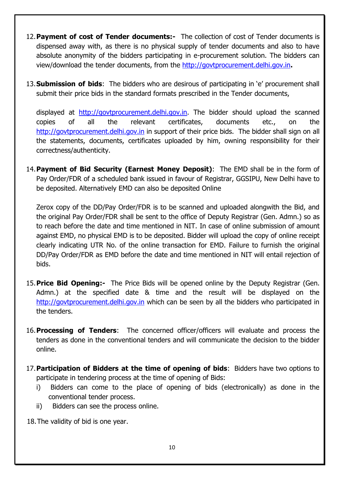- 12.**Payment of cost of Tender documents:-** The collection of cost of Tender documents is dispensed away with, as there is no physical supply of tender documents and also to have absolute anonymity of the bidders participating in e-procurement solution. The bidders can view/download the tender documents, from the [http://govtprocurement.delhi.gov.in](http://www.govtprocurement.delhi.gov.in/)**.**
- 13.**Submission of bids**: The bidders who are desirous of participating in 'e' procurement shall submit their price bids in the standard formats prescribed in the Tender documents,

displayed at [http://govtprocurement.delhi.gov.in.](http://www.govtprocurement.delhi.gov.in/) The bidder should upload the scanned copies of all the relevant certificates, documents etc., on the [http://govtprocurement.delhi.gov.in](http://www.govtprocurement.delhi.gov.in/) in support of their price bids. The bidder shall sign on all the statements, documents, certificates uploaded by him, owning responsibility for their correctness/authenticity.

14.**Payment of Bid Security (Earnest Money Deposit)**: The EMD shall be in the form of Pay Order/FDR of a scheduled bank issued in favour of Registrar, GGSIPU, New Delhi have to be deposited. Alternatively EMD can also be deposited Online

Zerox copy of the DD/Pay Order/FDR is to be scanned and uploaded alongwith the Bid, and the original Pay Order/FDR shall be sent to the office of Deputy Registrar (Gen. Admn.) so as to reach before the date and time mentioned in NIT. In case of online submission of amount against EMD, no physical EMD is to be deposited. Bidder will upload the copy of online receipt clearly indicating UTR No. of the online transaction for EMD. Failure to furnish the original DD/Pay Order/FDR as EMD before the date and time mentioned in NIT will entail rejection of bids.

- 15.**Price Bid Opening:-** The Price Bids will be opened online by the Deputy Registrar (Gen. Admn.) at the specified date & time and the result will be displayed on the [http://govtprocurement.delhi.gov.in](http://www.govtprocurement.delhi.gov.in/) which can be seen by all the bidders who participated in the tenders.
- 16.**Processing of Tenders**: The concerned officer/officers will evaluate and process the tenders as done in the conventional tenders and will communicate the decision to the bidder online.
- 17.**Participation of Bidders at the time of opening of bids**: Bidders have two options to participate in tendering process at the time of opening of Bids:
	- i) Bidders can come to the place of opening of bids (electronically) as done in the conventional tender process.
	- ii) Bidders can see the process online.

18.The validity of bid is one year.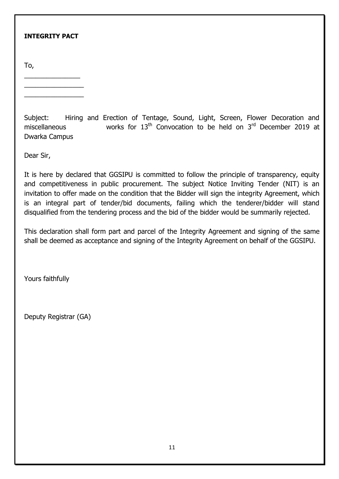#### **INTEGRITY PACT**

 $\overline{\phantom{a}}$  , which is a set of the set of the set of the set of the set of the set of the set of the set of the set of the set of the set of the set of the set of the set of the set of the set of the set of the set of th  $\overline{\phantom{a}}$  , and the set of the set of the set of the set of the set of the set of the set of the set of the set of the set of the set of the set of the set of the set of the set of the set of the set of the set of the s  $\overline{\phantom{a}}$  , and the set of the set of the set of the set of the set of the set of the set of the set of the set of the set of the set of the set of the set of the set of the set of the set of the set of the set of the s

To,

Subject: Hiring and Erection of Tentage, Sound, Light, Screen, Flower Decoration and miscellaneous works for  $13<sup>th</sup>$  Convocation to be held on  $3<sup>rd</sup>$  December 2019 at Dwarka Campus

Dear Sir,

It is here by declared that GGSIPU is committed to follow the principle of transparency, equity and competitiveness in public procurement. The subject Notice Inviting Tender (NIT) is an invitation to offer made on the condition that the Bidder will sign the integrity Agreement, which is an integral part of tender/bid documents, failing which the tenderer/bidder will stand disqualified from the tendering process and the bid of the bidder would be summarily rejected.

This declaration shall form part and parcel of the Integrity Agreement and signing of the same shall be deemed as acceptance and signing of the Integrity Agreement on behalf of the GGSIPU.

Yours faithfully

Deputy Registrar (GA)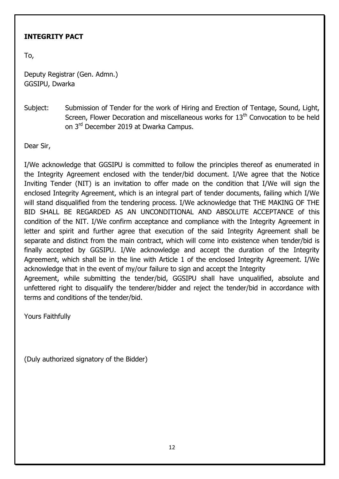#### **INTEGRITY PACT**

To,

Deputy Registrar (Gen. Admn.) GGSIPU, Dwarka

Subject: Submission of Tender for the work of Hiring and Erection of Tentage, Sound, Light, Screen, Flower Decoration and miscellaneous works for  $13<sup>th</sup>$  Convocation to be held on 3rd December 2019 at Dwarka Campus.

Dear Sir,

I/We acknowledge that GGSIPU is committed to follow the principles thereof as enumerated in the Integrity Agreement enclosed with the tender/bid document. I/We agree that the Notice Inviting Tender (NIT) is an invitation to offer made on the condition that I/We will sign the enclosed Integrity Agreement, which is an integral part of tender documents, failing which I/We will stand disqualified from the tendering process. I/We acknowledge that THE MAKING OF THE BID SHALL BE REGARDED AS AN UNCONDITIONAL AND ABSOLUTE ACCEPTANCE of this condition of the NIT. I/We confirm acceptance and compliance with the Integrity Agreement in letter and spirit and further agree that execution of the said Integrity Agreement shall be separate and distinct from the main contract, which will come into existence when tender/bid is finally accepted by GGSIPU. I/We acknowledge and accept the duration of the Integrity Agreement, which shall be in the line with Article 1 of the enclosed Integrity Agreement. I/We acknowledge that in the event of my/our failure to sign and accept the Integrity Agreement, while submitting the tender/bid, GGSIPU shall have unqualified, absolute and

unfettered right to disqualify the tenderer/bidder and reject the tender/bid in accordance with terms and conditions of the tender/bid.

Yours Faithfully

(Duly authorized signatory of the Bidder)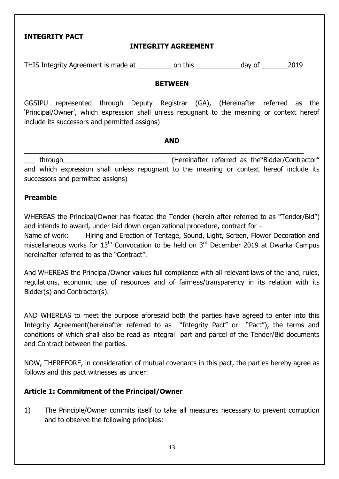#### **INTEGRITY PACT**

#### **INTEGRITY AGREEMENT**

THIS Integrity Agreement is made at \_\_\_\_\_\_\_\_\_ on this \_\_\_\_\_\_\_\_\_\_\_\_day of \_\_\_\_\_\_\_2019

#### **BETWEEN**

GGSIPU represented through Deputy Registrar (GA), (Hereinafter referred as the 'Principal/Owner', which expression shall unless repugnant to the meaning or context hereof include its successors and permitted assigns)

#### **AND**

\_\_\_\_\_\_\_\_\_\_\_\_\_\_\_\_\_\_\_\_\_\_\_\_\_\_\_\_\_\_\_\_\_\_\_\_\_\_\_\_\_\_\_\_\_\_\_\_\_\_\_\_\_\_\_\_\_\_\_\_\_\_\_\_\_\_\_\_\_\_\_\_\_\_\_

through through through through through  $(Hereinafter$  referred as the "Bidder/Contractor" and which expression shall unless repugnant to the meaning or context hereof include its successors and permitted assigns)

#### **Preamble**

WHEREAS the Principal/Owner has floated the Tender (herein after referred to as "Tender/Bid") and intends to award, under laid down organizational procedure, contract for – Name of work: Hiring and Erection of Tentage, Sound, Light, Screen, Flower Decoration and miscellaneous works for  $13<sup>th</sup>$  Convocation to be held on  $3<sup>rd</sup>$  December 2019 at Dwarka Campus hereinafter referred to as the "Contract".

And WHEREAS the Principal/Owner values full compliance with all relevant laws of the land, rules, regulations, economic use of resources and of fairness/transparency in its relation with its Bidder(s) and Contractor(s).

AND WHEREAS to meet the purpose aforesaid both the parties have agreed to enter into this Integrity Agreement(hereinafter referred to as "Integrity Pact" or "Pact"), the terms and conditions of which shall also be read as integral part and parcel of the Tender/Bid documents and Contract between the parties.

NOW, THEREFORE, in consideration of mutual covenants in this pact, the parties hereby agree as follows and this pact witnesses as under:

#### **Article 1: Commitment of the Principal/Owner**

1) The Principle/Owner commits itself to take all measures necessary to prevent corruption and to observe the following principles: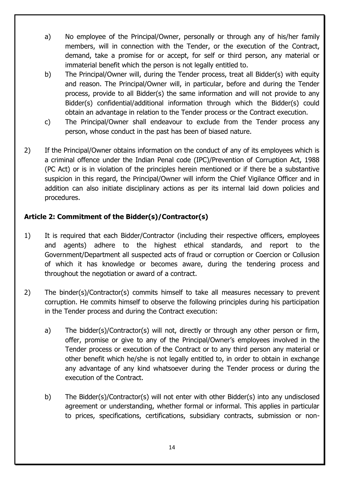- a) No employee of the Principal/Owner, personally or through any of his/her family members, will in connection with the Tender, or the execution of the Contract, demand, take a promise for or accept, for self or third person, any material or immaterial benefit which the person is not legally entitled to.
- b) The Principal/Owner will, during the Tender process, treat all Bidder(s) with equity and reason. The Principal/Owner will, in particular, before and during the Tender process, provide to all Bidder(s) the same information and will not provide to any Bidder(s) confidential/additional information through which the Bidder(s) could obtain an advantage in relation to the Tender process or the Contract execution.
- c) The Principal/Owner shall endeavour to exclude from the Tender process any person, whose conduct in the past has been of biased nature.
- 2) If the Principal/Owner obtains information on the conduct of any of its employees which is a criminal offence under the Indian Penal code (IPC)/Prevention of Corruption Act, 1988 (PC Act) or is in violation of the principles herein mentioned or if there be a substantive suspicion in this regard, the Principal/Owner will inform the Chief Vigilance Officer and in addition can also initiate disciplinary actions as per its internal laid down policies and procedures.

#### **Article 2: Commitment of the Bidder(s)/Contractor(s)**

- 1) It is required that each Bidder/Contractor (including their respective officers, employees and agents) adhere to the highest ethical standards, and report to the Government/Department all suspected acts of fraud or corruption or Coercion or Collusion of which it has knowledge or becomes aware, during the tendering process and throughout the negotiation or award of a contract.
- 2) The binder(s)/Contractor(s) commits himself to take all measures necessary to prevent corruption. He commits himself to observe the following principles during his participation in the Tender process and during the Contract execution:
	- a) The bidder(s)/Contractor(s) will not, directly or through any other person or firm, offer, promise or give to any of the Principal/Owner's employees involved in the Tender process or execution of the Contract or to any third person any material or other benefit which he/she is not legally entitled to, in order to obtain in exchange any advantage of any kind whatsoever during the Tender process or during the execution of the Contract.
	- b) The Bidder(s)/Contractor(s) will not enter with other Bidder(s) into any undisclosed agreement or understanding, whether formal or informal. This applies in particular to prices, specifications, certifications, subsidiary contracts, submission or non-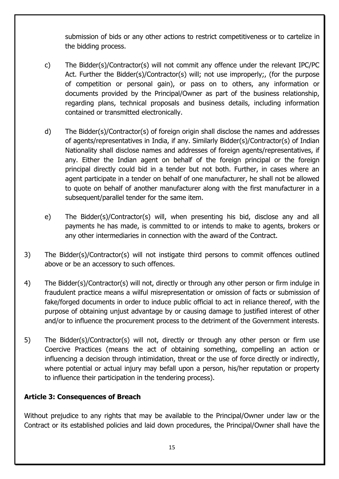submission of bids or any other actions to restrict competitiveness or to cartelize in the bidding process.

- c) The Bidder(s)/Contractor(s) will not commit any offence under the relevant IPC/PC Act. Further the Bidder(s)/Contractor(s) will; not use improperly;, (for the purpose of competition or personal gain), or pass on to others, any information or documents provided by the Principal/Owner as part of the business relationship, regarding plans, technical proposals and business details, including information contained or transmitted electronically.
- d) The Bidder(s)/Contractor(s) of foreign origin shall disclose the names and addresses of agents/representatives in India, if any. Similarly Bidder(s)/Contractor(s) of Indian Nationality shall disclose names and addresses of foreign agents/representatives, if any. Either the Indian agent on behalf of the foreign principal or the foreign principal directly could bid in a tender but not both. Further, in cases where an agent participate in a tender on behalf of one manufacturer, he shall not be allowed to quote on behalf of another manufacturer along with the first manufacturer in a subsequent/parallel tender for the same item.
- e) The Bidder(s)/Contractor(s) will, when presenting his bid, disclose any and all payments he has made, is committed to or intends to make to agents, brokers or any other intermediaries in connection with the award of the Contract.
- 3) The Bidder(s)/Contractor(s) will not instigate third persons to commit offences outlined above or be an accessory to such offences.
- 4) The Bidder(s)/Contractor(s) will not, directly or through any other person or firm indulge in fraudulent practice means a wilful misrepresentation or omission of facts or submission of fake/forged documents in order to induce public official to act in reliance thereof, with the purpose of obtaining unjust advantage by or causing damage to justified interest of other and/or to influence the procurement process to the detriment of the Government interests.
- 5) The Bidder(s)/Contractor(s) will not, directly or through any other person or firm use Coercive Practices (means the act of obtaining something, compelling an action or influencing a decision through intimidation, threat or the use of force directly or indirectly, where potential or actual injury may befall upon a person, his/her reputation or property to influence their participation in the tendering process).

#### **Article 3: Consequences of Breach**

Without prejudice to any rights that may be available to the Principal/Owner under law or the Contract or its established policies and laid down procedures, the Principal/Owner shall have the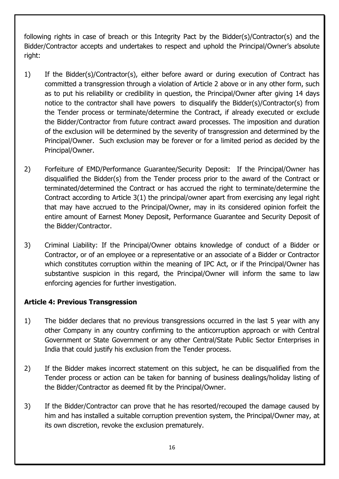following rights in case of breach or this Integrity Pact by the Bidder(s)/Contractor(s) and the Bidder/Contractor accepts and undertakes to respect and uphold the Principal/Owner's absolute right:

- 1) If the Bidder(s)/Contractor(s), either before award or during execution of Contract has committed a transgression through a violation of Article 2 above or in any other form, such as to put his reliability or credibility in question, the Principal/Owner after giving 14 days notice to the contractor shall have powers to disqualify the Bidder(s)/Contractor(s) from the Tender process or terminate/determine the Contract, if already executed or exclude the Bidder/Contractor from future contract award processes. The imposition and duration of the exclusion will be determined by the severity of transgression and determined by the Principal/Owner. Such exclusion may be forever or for a limited period as decided by the Principal/Owner.
- 2) Forfeiture of EMD/Performance Guarantee/Security Deposit: If the Principal/Owner has disqualified the Bidder(s) from the Tender process prior to the award of the Contract or terminated/determined the Contract or has accrued the right to terminate/determine the Contract according to Article 3(1) the principal/owner apart from exercising any legal right that may have accrued to the Principal/Owner, may in its considered opinion forfeit the entire amount of Earnest Money Deposit, Performance Guarantee and Security Deposit of the Bidder/Contractor.
- 3) Criminal Liability: If the Principal/Owner obtains knowledge of conduct of a Bidder or Contractor, or of an employee or a representative or an associate of a Bidder or Contractor which constitutes corruption within the meaning of IPC Act, or if the Principal/Owner has substantive suspicion in this regard, the Principal/Owner will inform the same to law enforcing agencies for further investigation.

#### **Article 4: Previous Transgression**

- 1) The bidder declares that no previous transgressions occurred in the last 5 year with any other Company in any country confirming to the anticorruption approach or with Central Government or State Government or any other Central/State Public Sector Enterprises in India that could justify his exclusion from the Tender process.
- 2) If the Bidder makes incorrect statement on this subject, he can be disqualified from the Tender process or action can be taken for banning of business dealings/holiday listing of the Bidder/Contractor as deemed fit by the Principal/Owner.
- 3) If the Bidder/Contractor can prove that he has resorted/recouped the damage caused by him and has installed a suitable corruption prevention system, the Principal/Owner may, at its own discretion, revoke the exclusion prematurely.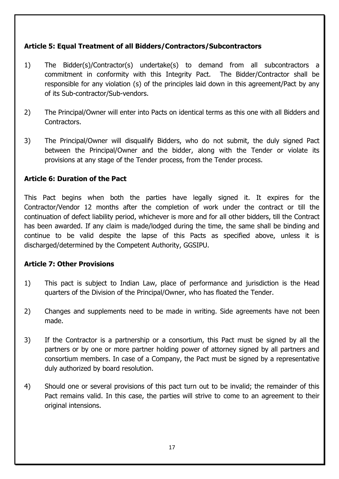#### **Article 5: Equal Treatment of all Bidders/Contractors/Subcontractors**

- 1) The Bidder(s)/Contractor(s) undertake(s) to demand from all subcontractors a commitment in conformity with this Integrity Pact. The Bidder/Contractor shall be responsible for any violation (s) of the principles laid down in this agreement/Pact by any of its Sub-contractor/Sub-vendors.
- 2) The Principal/Owner will enter into Pacts on identical terms as this one with all Bidders and Contractors.
- 3) The Principal/Owner will disqualify Bidders, who do not submit, the duly signed Pact between the Principal/Owner and the bidder, along with the Tender or violate its provisions at any stage of the Tender process, from the Tender process.

#### **Article 6: Duration of the Pact**

This Pact begins when both the parties have legally signed it. It expires for the Contractor/Vendor 12 months after the completion of work under the contract or till the continuation of defect liability period, whichever is more and for all other bidders, till the Contract has been awarded. If any claim is made/lodged during the time, the same shall be binding and continue to be valid despite the lapse of this Pacts as specified above, unless it is discharged/determined by the Competent Authority, GGSIPU.

#### **Article 7: Other Provisions**

- 1) This pact is subject to Indian Law, place of performance and jurisdiction is the Head quarters of the Division of the Principal/Owner, who has floated the Tender.
- 2) Changes and supplements need to be made in writing. Side agreements have not been made.
- 3) If the Contractor is a partnership or a consortium, this Pact must be signed by all the partners or by one or more partner holding power of attorney signed by all partners and consortium members. In case of a Company, the Pact must be signed by a representative duly authorized by board resolution.
- 4) Should one or several provisions of this pact turn out to be invalid; the remainder of this Pact remains valid. In this case, the parties will strive to come to an agreement to their original intensions.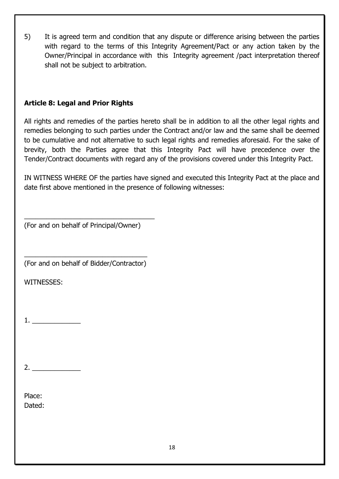5) It is agreed term and condition that any dispute or difference arising between the parties with regard to the terms of this Integrity Agreement/Pact or any action taken by the Owner/Principal in accordance with this Integrity agreement /pact interpretation thereof shall not be subject to arbitration.

#### **Article 8: Legal and Prior Rights**

All rights and remedies of the parties hereto shall be in addition to all the other legal rights and remedies belonging to such parties under the Contract and/or law and the same shall be deemed to be cumulative and not alternative to such legal rights and remedies aforesaid. For the sake of brevity, both the Parties agree that this Integrity Pact will have precedence over the Tender/Contract documents with regard any of the provisions covered under this Integrity Pact.

IN WITNESS WHERE OF the parties have signed and executed this Integrity Pact at the place and date first above mentioned in the presence of following witnesses:

(For and on behalf of Principal/Owner)

\_\_\_\_\_\_\_\_\_\_\_\_\_\_\_\_\_\_\_\_\_\_\_\_\_\_\_\_\_\_\_\_\_\_\_

\_\_\_\_\_\_\_\_\_\_\_\_\_\_\_\_\_\_\_\_\_\_\_\_\_\_\_\_\_\_\_\_\_ (For and on behalf of Bidder/Contractor)

WITNESSES:

1.  $\blacksquare$ 

Place: Dated: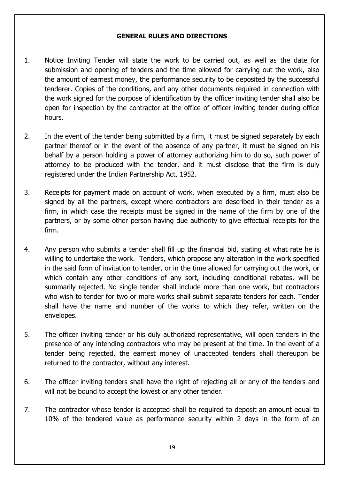#### **GENERAL RULES AND DIRECTIONS**

- 1. Notice Inviting Tender will state the work to be carried out, as well as the date for submission and opening of tenders and the time allowed for carrying out the work, also the amount of earnest money, the performance security to be deposited by the successful tenderer. Copies of the conditions, and any other documents required in connection with the work signed for the purpose of identification by the officer inviting tender shall also be open for inspection by the contractor at the office of officer inviting tender during office hours.
- 2. In the event of the tender being submitted by a firm, it must be signed separately by each partner thereof or in the event of the absence of any partner, it must be signed on his behalf by a person holding a power of attorney authorizing him to do so, such power of attorney to be produced with the tender, and it must disclose that the firm is duly registered under the Indian Partnership Act, 1952.
- 3. Receipts for payment made on account of work, when executed by a firm, must also be signed by all the partners, except where contractors are described in their tender as a firm, in which case the receipts must be signed in the name of the firm by one of the partners, or by some other person having due authority to give effectual receipts for the firm.
- 4. Any person who submits a tender shall fill up the financial bid, stating at what rate he is willing to undertake the work. Tenders, which propose any alteration in the work specified in the said form of invitation to tender, or in the time allowed for carrying out the work, or which contain any other conditions of any sort, including conditional rebates, will be summarily rejected. No single tender shall include more than one work, but contractors who wish to tender for two or more works shall submit separate tenders for each. Tender shall have the name and number of the works to which they refer, written on the envelopes.
- 5. The officer inviting tender or his duly authorized representative, will open tenders in the presence of any intending contractors who may be present at the time. In the event of a tender being rejected, the earnest money of unaccepted tenders shall thereupon be returned to the contractor, without any interest.
- 6. The officer inviting tenders shall have the right of rejecting all or any of the tenders and will not be bound to accept the lowest or any other tender.
- 7. The contractor whose tender is accepted shall be required to deposit an amount equal to 10% of the tendered value as performance security within 2 days in the form of an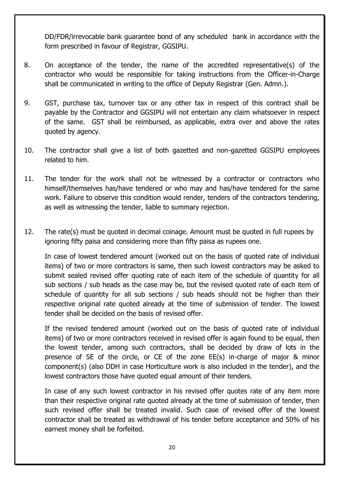DD/FDR/irrevocable bank guarantee bond of any scheduled bank in accordance with the form prescribed in favour of Registrar, GGSIPU.

- 8. On acceptance of the tender, the name of the accredited representative(s) of the contractor who would be responsible for taking instructions from the Officer-in-Charge shall be communicated in writing to the office of Deputy Registrar (Gen. Admn.).
- 9. GST, purchase tax, turnover tax or any other tax in respect of this contract shall be payable by the Contractor and GGSIPU will not entertain any claim whatsoever in respect of the same. GST shall be reimbursed, as applicable, extra over and above the rates quoted by agency.
- 10. The contractor shall give a list of both gazetted and non-gazetted GGSIPU employees related to him.
- 11. The tender for the work shall not be witnessed by a contractor or contractors who himself/themselves has/have tendered or who may and has/have tendered for the same work. Failure to observe this condition would render, tenders of the contractors tendering, as well as witnessing the tender, liable to summary rejection.
- 12. The rate(s) must be quoted in decimal coinage. Amount must be quoted in full rupees by ignoring fifty paisa and considering more than fifty paisa as rupees one.

In case of lowest tendered amount (worked out on the basis of quoted rate of individual items) of two or more contractors is same, then such lowest contractors may be asked to submit sealed revised offer quoting rate of each item of the schedule of quantity for all sub sections / sub heads as the case may be, but the revised quoted rate of each item of schedule of quantity for all sub sections / sub heads should not be higher than their respective original rate quoted already at the time of submission of tender. The lowest tender shall be decided on the basis of revised offer.

If the revised tendered amount (worked out on the basis of quoted rate of individual items) of two or more contractors received in revised offer is again found to be equal, then the lowest tender, among such contractors, shall be decided by draw of lots in the presence of SE of the circle, or CE of the zone EE(s) in-charge of major & minor component(s) (also DDH in case Horticulture work is also included in the tender), and the lowest contractors those have quoted equal amount of their tenders.

In case of any such lowest contractor in his revised offer quotes rate of any item more than their respective original rate quoted already at the time of submission of tender, then such revised offer shall be treated invalid. Such case of revised offer of the lowest contractor shall be treated as withdrawal of his tender before acceptance and 50% of his earnest money shall be forfeited.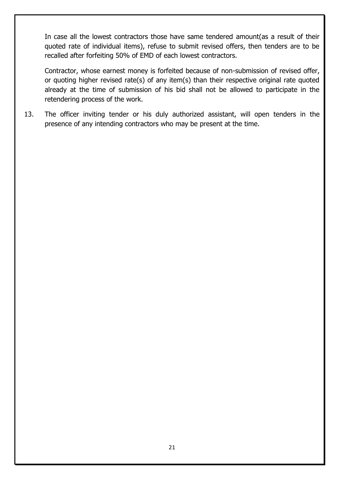In case all the lowest contractors those have same tendered amount(as a result of their quoted rate of individual items), refuse to submit revised offers, then tenders are to be recalled after forfeiting 50% of EMD of each lowest contractors.

Contractor, whose earnest money is forfeited because of non-submission of revised offer, or quoting higher revised rate(s) of any item(s) than their respective original rate quoted already at the time of submission of his bid shall not be allowed to participate in the retendering process of the work.

13. The officer inviting tender or his duly authorized assistant, will open tenders in the presence of any intending contractors who may be present at the time.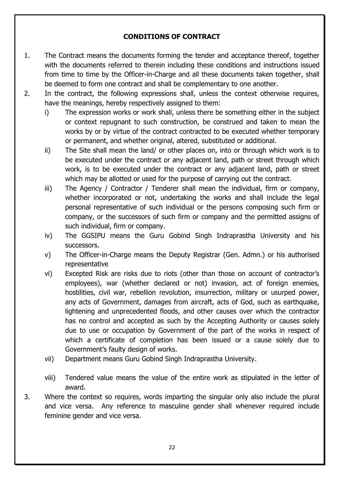#### **CONDITIONS OF CONTRACT**

- 1. The Contract means the documents forming the tender and acceptance thereof, together with the documents referred to therein including these conditions and instructions issued from time to time by the Officer-in-Charge and all these documents taken together, shall be deemed to form one contract and shall be complementary to one another.
- 2. In the contract, the following expressions shall, unless the context otherwise requires, have the meanings, hereby respectively assigned to them:
	- i) The expression works or work shall, unless there be something either in the subject or context repugnant to such construction, be construed and taken to mean the works by or by virtue of the contract contracted to be executed whether temporary or permanent, and whether original, altered, substituted or additional.
	- ii) The Site shall mean the land/ or other places on, into or through which work is to be executed under the contract or any adjacent land, path or street through which work, is to be executed under the contract or any adjacent land, path or street which may be allotted or used for the purpose of carrying out the contract.
	- iii) The Agency / Contractor / Tenderer shall mean the individual, firm or company, whether incorporated or not, undertaking the works and shall include the legal personal representative of such individual or the persons composing such firm or company, or the successors of such firm or company and the permitted assigns of such individual, firm or company.
	- iv) The GGSIPU means the Guru Gobind Singh Indraprastha University and his successors.
	- v) The Officer-in-Charge means the Deputy Registrar (Gen. Admn.) or his authorised representative
	- vi) Excepted Risk are risks due to riots (other than those on account of contractor's employees), war (whether declared or not) invasion, act of foreign enemies, hostilities, civil war, rebellion revolution, insurrection, military or usurped power, any acts of Government, damages from aircraft, acts of God, such as earthquake, lightening and unprecedented floods, and other causes over which the contractor has no control and accepted as such by the Accepting Authority or causes solely due to use or occupation by Government of the part of the works in respect of which a certificate of completion has been issued or a cause solely due to Government's faulty design of works.
	- vii) Department means Guru Gobind Singh Indraprastha University.
	- viii) Tendered value means the value of the entire work as stipulated in the letter of award.
- 3. Where the context so requires, words imparting the singular only also include the plural and vice versa. Any reference to masculine gender shall whenever required include feminine gender and vice versa.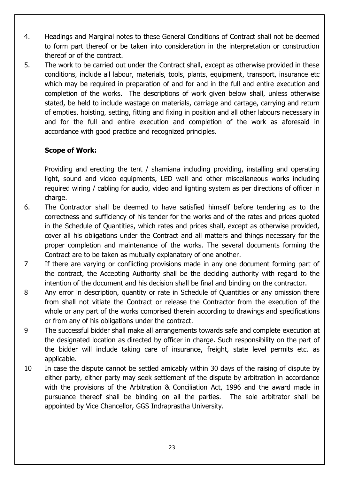- 4. Headings and Marginal notes to these General Conditions of Contract shall not be deemed to form part thereof or be taken into consideration in the interpretation or construction thereof or of the contract.
- 5. The work to be carried out under the Contract shall, except as otherwise provided in these conditions, include all labour, materials, tools, plants, equipment, transport, insurance etc which may be required in preparation of and for and in the full and entire execution and completion of the works. The descriptions of work given below shall, unless otherwise stated, be held to include wastage on materials, carriage and cartage, carrying and return of empties, hoisting, setting, fitting and fixing in position and all other labours necessary in and for the full and entire execution and completion of the work as aforesaid in accordance with good practice and recognized principles.

#### **Scope of Work:**

Providing and erecting the tent / shamiana including providing, installing and operating light, sound and video equipments, LED wall and other miscellaneous works including required wiring / cabling for audio, video and lighting system as per directions of officer in charge.

- 6. The Contractor shall be deemed to have satisfied himself before tendering as to the correctness and sufficiency of his tender for the works and of the rates and prices quoted in the Schedule of Quantities, which rates and prices shall, except as otherwise provided, cover all his obligations under the Contract and all matters and things necessary for the proper completion and maintenance of the works. The several documents forming the Contract are to be taken as mutually explanatory of one another.
- 7 If there are varying or conflicting provisions made in any one document forming part of the contract, the Accepting Authority shall be the deciding authority with regard to the intention of the document and his decision shall be final and binding on the contractor.
- 8 Any error in description, quantity or rate in Schedule of Quantities or any omission there from shall not vitiate the Contract or release the Contractor from the execution of the whole or any part of the works comprised therein according to drawings and specifications or from any of his obligations under the contract.
- 9 The successful bidder shall make all arrangements towards safe and complete execution at the designated location as directed by officer in charge. Such responsibility on the part of the bidder will include taking care of insurance, freight, state level permits etc. as applicable.
- 10 In case the dispute cannot be settled amicably within 30 days of the raising of dispute by either party, either party may seek settlement of the dispute by arbitration in accordance with the provisions of the Arbitration & Conciliation Act, 1996 and the award made in pursuance thereof shall be binding on all the parties. The sole arbitrator shall be appointed by Vice Chancellor, GGS Indraprastha University.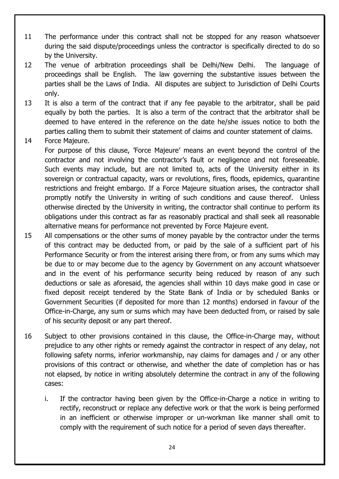- 11 The performance under this contract shall not be stopped for any reason whatsoever during the said dispute/proceedings unless the contractor is specifically directed to do so by the University.
- 12 The venue of arbitration proceedings shall be Delhi/New Delhi. The language of proceedings shall be English. The law governing the substantive issues between the parties shall be the Laws of India. All disputes are subject to Jurisdiction of Delhi Courts only.
- 13 It is also a term of the contract that if any fee payable to the arbitrator, shall be paid equally by both the parties. It is also a term of the contract that the arbitrator shall be deemed to have entered in the reference on the date he/she issues notice to both the parties calling them to submit their statement of claims and counter statement of claims.
- 14 Force Majeure.

For purpose of this clause, 'Force Majeure' means an event beyond the control of the contractor and not involving the contractor's fault or negligence and not foreseeable. Such events may include, but are not limited to, acts of the University either in its sovereign or contractual capacity, wars or revolutions, fires, floods, epidemics, quarantine restrictions and freight embargo. If a Force Majeure situation arises, the contractor shall promptly notify the University in writing of such conditions and cause thereof. Unless otherwise directed by the University in writing, the contractor shall continue to perform its obligations under this contract as far as reasonably practical and shall seek all reasonable alternative means for performance not prevented by Force Majeure event.

- 15 All compensations or the other sums of money payable by the contractor under the terms of this contract may be deducted from, or paid by the sale of a sufficient part of his Performance Security or from the interest arising there from, or from any sums which may be due to or may become due to the agency by Government on any account whatsoever and in the event of his performance security being reduced by reason of any such deductions or sale as aforesaid, the agencies shall within 10 days make good in case or fixed deposit receipt tendered by the State Bank of India or by scheduled Banks or Government Securities (if deposited for more than 12 months) endorsed in favour of the Office-in-Charge, any sum or sums which may have been deducted from, or raised by sale of his security deposit or any part thereof.
- 16 Subject to other provisions contained in this clause, the Office-in-Charge may, without prejudice to any other rights or remedy against the contractor in respect of any delay, not following safety norms, inferior workmanship, nay claims for damages and / or any other provisions of this contract or otherwise, and whether the date of completion has or has not elapsed, by notice in writing absolutely determine the contract in any of the following cases:
	- i. If the contractor having been given by the Office-in-Charge a notice in writing to rectify, reconstruct or replace any defective work or that the work is being performed in an inefficient or otherwise improper or un-workman like manner shall omit to comply with the requirement of such notice for a period of seven days thereafter.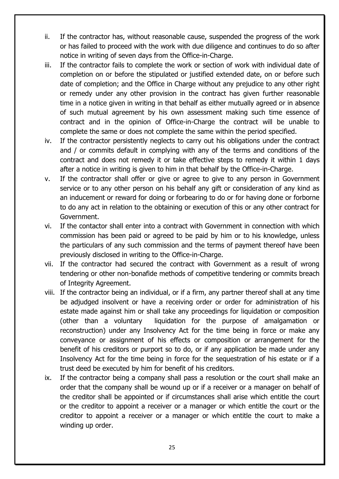- ii. If the contractor has, without reasonable cause, suspended the progress of the work or has failed to proceed with the work with due diligence and continues to do so after notice in writing of seven days from the Office-in-Charge.
- iii. If the contractor fails to complete the work or section of work with individual date of completion on or before the stipulated or justified extended date, on or before such date of completion; and the Office in Charge without any prejudice to any other right or remedy under any other provision in the contract has given further reasonable time in a notice given in writing in that behalf as either mutually agreed or in absence of such mutual agreement by his own assessment making such time essence of contract and in the opinion of Office-in-Charge the contract will be unable to complete the same or does not complete the same within the period specified.
- iv. If the contractor persistently neglects to carry out his obligations under the contract and / or commits default in complying with any of the terms and conditions of the contract and does not remedy it or take effective steps to remedy it within 1 days after a notice in writing is given to him in that behalf by the Office-in-Charge.
- v. If the contractor shall offer or give or agree to give to any person in Government service or to any other person on his behalf any gift or consideration of any kind as an inducement or reward for doing or forbearing to do or for having done or forborne to do any act in relation to the obtaining or execution of this or any other contract for Government.
- vi. If the contactor shall enter into a contract with Government in connection with which commission has been paid or agreed to be paid by him or to his knowledge, unless the particulars of any such commission and the terms of payment thereof have been previously disclosed in writing to the Office-in-Charge.
- vii. If the contractor had secured the contract with Government as a result of wrong tendering or other non-bonafide methods of competitive tendering or commits breach of Integrity Agreement.
- viii. If the contractor being an individual, or if a firm, any partner thereof shall at any time be adjudged insolvent or have a receiving order or order for administration of his estate made against him or shall take any proceedings for liquidation or composition (other than a voluntary liquidation for the purpose of amalgamation or reconstruction) under any Insolvency Act for the time being in force or make any conveyance or assignment of his effects or composition or arrangement for the benefit of his creditors or purport so to do, or if any application be made under any Insolvency Act for the time being in force for the sequestration of his estate or if a trust deed be executed by him for benefit of his creditors.
- ix. If the contractor being a company shall pass a resolution or the court shall make an order that the company shall be wound up or if a receiver or a manager on behalf of the creditor shall be appointed or if circumstances shall arise which entitle the court or the creditor to appoint a receiver or a manager or which entitle the court or the creditor to appoint a receiver or a manager or which entitle the court to make a winding up order.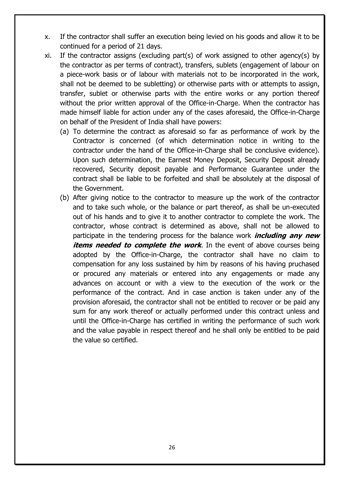- x. If the contractor shall suffer an execution being levied on his goods and allow it to be continued for a period of 21 days.
- xi. If the contractor assigns (excluding part(s) of work assigned to other agency(s) by the contractor as per terms of contract), transfers, sublets (engagement of labour on a piece-work basis or of labour with materials not to be incorporated in the work, shall not be deemed to be subletting) or otherwise parts with or attempts to assign, transfer, sublet or otherwise parts with the entire works or any portion thereof without the prior written approval of the Office-in-Charge. When the contractor has made himself liable for action under any of the cases aforesaid, the Office-in-Charge on behalf of the President of India shall have powers:
	- (a) To determine the contract as aforesaid so far as performance of work by the Contractor is concerned (of which determination notice in writing to the contractor under the hand of the Office-in-Charge shall be conclusive evidence). Upon such determination, the Earnest Money Deposit, Security Deposit already recovered, Security deposit payable and Performance Guarantee under the contract shall be liable to be forfeited and shall be absolutely at the disposal of the Government.
	- (b) After giving notice to the contractor to measure up the work of the contractor and to take such whole, or the balance or part thereof, as shall be un-executed out of his hands and to give it to another contractor to complete the work. The contractor, whose contract is determined as above, shall not be allowed to participate in the tendering process for the balance work **including any new**  *items needed to complete the work*. In the event of above courses being adopted by the Office-in-Charge, the contractor shall have no claim to compensation for any loss sustained by him by reasons of his having pruchased or procured any materials or entered into any engagements or made any advances on account or with a view to the execution of the work or the performance of the contract. And in case anction is taken under any of the provision aforesaid, the contractor shall not be entitled to recover or be paid any sum for any work thereof or actually performed under this contract unless and until the Office-in-Charge has certified in writing the performance of such work and the value payable in respect thereof and he shall only be entitled to be paid the value so certified.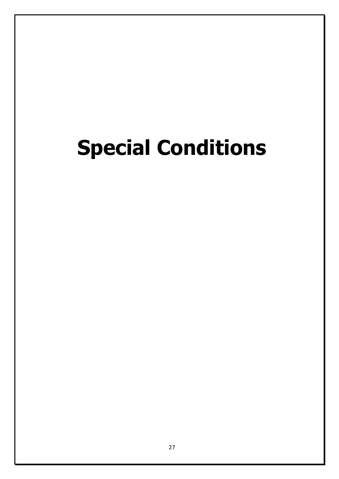# **Special Conditions**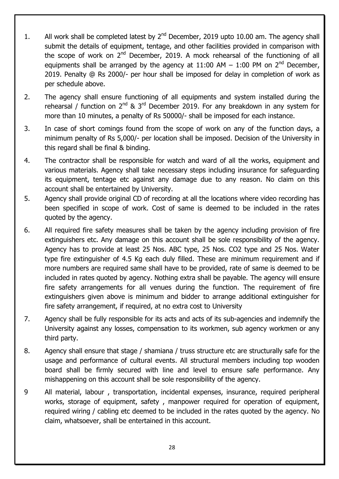- 1. All work shall be completed latest by  $2^{nd}$  December, 2019 upto 10.00 am. The agency shall submit the details of equipment, tentage, and other facilities provided in comparison with the scope of work on  $2<sup>nd</sup>$  December, 2019. A mock rehearsal of the functioning of all equipments shall be arranged by the agency at  $11:00$  AM  $-$  1:00 PM on  $2<sup>nd</sup>$  December, 2019. Penalty @ Rs 2000/- per hour shall be imposed for delay in completion of work as per schedule above.
- 2. The agency shall ensure functioning of all equipments and system installed during the rehearsal / function on  $2^{nd}$  &  $3^{rd}$  December 2019. For any breakdown in any system for more than 10 minutes, a penalty of Rs 50000/- shall be imposed for each instance.
- 3. In case of short comings found from the scope of work on any of the function days, a minimum penalty of Rs 5,000/- per location shall be imposed. Decision of the University in this regard shall be final & binding.
- 4. The contractor shall be responsible for watch and ward of all the works, equipment and various materials. Agency shall take necessary steps including insurance for safeguarding its equipment, tentage etc against any damage due to any reason. No claim on this account shall be entertained by University.
- 5. Agency shall provide original CD of recording at all the locations where video recording has been specified in scope of work. Cost of same is deemed to be included in the rates quoted by the agency.
- 6. All required fire safety measures shall be taken by the agency including provision of fire extinguishers etc. Any damage on this account shall be sole responsibility of the agency. Agency has to provide at least 25 Nos. ABC type, 25 Nos. CO2 type and 25 Nos. Water type fire extinguisher of 4.5 Kg each duly filled. These are minimum requirement and if more numbers are required same shall have to be provided, rate of same is deemed to be included in rates quoted by agency. Nothing extra shall be payable. The agency will ensure fire safety arrangements for all venues during the function. The requirement of fire extinguishers given above is minimum and bidder to arrange additional extinguisher for fire safety arrangement, if required, at no extra cost to University
- 7. Agency shall be fully responsible for its acts and acts of its sub-agencies and indemnify the University against any losses, compensation to its workmen, sub agency workmen or any third party.
- 8. Agency shall ensure that stage / shamiana / truss structure etc are structurally safe for the usage and performance of cultural events. All structural members including top wooden board shall be firmly secured with line and level to ensure safe performance. Any mishappening on this account shall be sole responsibility of the agency.
- 9 All material, labour , transportation, incidental expenses, insurance, required peripheral works, storage of equipment, safety , manpower required for operation of equipment, required wiring / cabling etc deemed to be included in the rates quoted by the agency. No claim, whatsoever, shall be entertained in this account.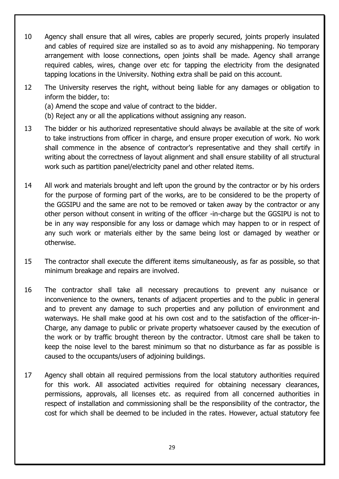- 10 Agency shall ensure that all wires, cables are properly secured, joints properly insulated and cables of required size are installed so as to avoid any mishappening. No temporary arrangement with loose connections, open joints shall be made. Agency shall arrange required cables, wires, change over etc for tapping the electricity from the designated tapping locations in the University. Nothing extra shall be paid on this account.
- 12 The University reserves the right, without being liable for any damages or obligation to inform the bidder, to:
	- (a) Amend the scope and value of contract to the bidder.
	- (b) Reject any or all the applications without assigning any reason.
- 13 The bidder or his authorized representative should always be available at the site of work to take instructions from officer in charge, and ensure proper execution of work. No work shall commence in the absence of contractor's representative and they shall certify in writing about the correctness of layout alignment and shall ensure stability of all structural work such as partition panel/electricity panel and other related items.
- 14 All work and materials brought and left upon the ground by the contractor or by his orders for the purpose of forming part of the works, are to be considered to be the property of the GGSIPU and the same are not to be removed or taken away by the contractor or any other person without consent in writing of the officer -in-charge but the GGSIPU is not to be in any way responsible for any loss or damage which may happen to or in respect of any such work or materials either by the same being lost or damaged by weather or otherwise.
- 15 The contractor shall execute the different items simultaneously, as far as possible, so that minimum breakage and repairs are involved.
- 16 The contractor shall take all necessary precautions to prevent any nuisance or inconvenience to the owners, tenants of adjacent properties and to the public in general and to prevent any damage to such properties and any pollution of environment and waterways. He shall make good at his own cost and to the satisfaction of the officer-in-Charge, any damage to public or private property whatsoever caused by the execution of the work or by traffic brought thereon by the contractor. Utmost care shall be taken to keep the noise level to the barest minimum so that no disturbance as far as possible is caused to the occupants/users of adjoining buildings.
- 17 Agency shall obtain all required permissions from the local statutory authorities required for this work. All associated activities required for obtaining necessary clearances, permissions, approvals, all licenses etc. as required from all concerned authorities in respect of installation and commissioning shall be the responsibility of the contractor, the cost for which shall be deemed to be included in the rates. However, actual statutory fee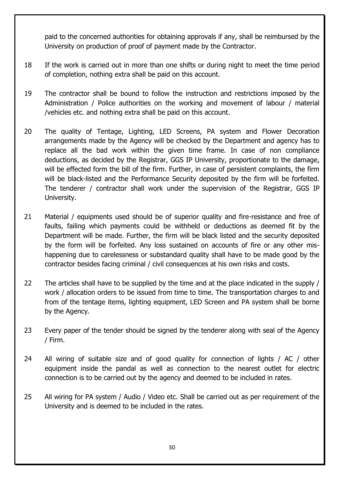paid to the concerned authorities for obtaining approvals if any, shall be reimbursed by the University on production of proof of payment made by the Contractor.

- 18 If the work is carried out in more than one shifts or during night to meet the time period of completion, nothing extra shall be paid on this account.
- 19 The contractor shall be bound to follow the instruction and restrictions imposed by the Administration / Police authorities on the working and movement of labour / material /vehicles etc. and nothing extra shall be paid on this account.
- 20 The quality of Tentage, Lighting, LED Screens, PA system and Flower Decoration arrangements made by the Agency will be checked by the Department and agency has to replace all the bad work within the given time frame. In case of non compliance deductions, as decided by the Registrar, GGS IP University, proportionate to the damage, will be effected form the bill of the firm. Further, in case of persistent complaints, the firm will be black-listed and the Performance Security deposited by the firm will be forfeited. The tenderer / contractor shall work under the supervision of the Registrar, GGS IP University.
- 21 Material / equipments used should be of superior quality and fire-resistance and free of faults, failing which payments could be withheld or deductions as deemed fit by the Department will be made. Further, the firm will be black listed and the security deposited by the form will be forfeited. Any loss sustained on accounts of fire or any other mishappening due to carelessness or substandard quality shall have to be made good by the contractor besides facing criminal / civil consequences at his own risks and costs.
- 22 The articles shall have to be supplied by the time and at the place indicated in the supply / work / allocation orders to be issued from time to time. The transportation charges to and from of the tentage items, lighting equipment, LED Screen and PA system shall be borne by the Agency.
- 23 Every paper of the tender should be signed by the tenderer along with seal of the Agency / Firm.
- 24 All wiring of suitable size and of good quality for connection of lights / AC / other equipment inside the pandal as well as connection to the nearest outlet for electric connection is to be carried out by the agency and deemed to be included in rates.
- 25 All wiring for PA system / Audio / Video etc. Shall be carried out as per requirement of the University and is deemed to be included in the rates.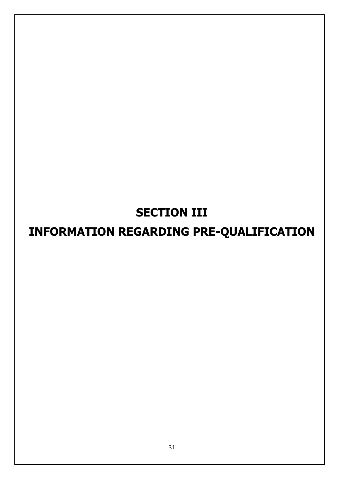# **SECTION III**

# **INFORMATION REGARDING PRE-QUALIFICATION**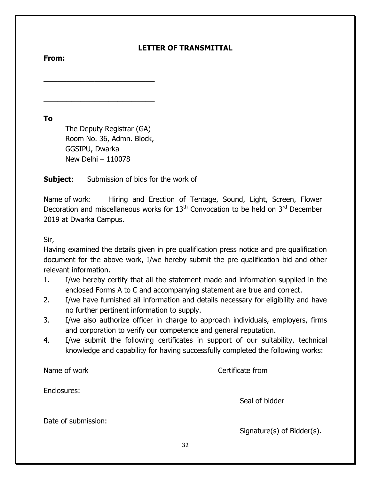#### **LETTER OF TRANSMITTAL**

**From:**

**To**

The Deputy Registrar (GA) Room No. 36, Admn. Block, GGSIPU, Dwarka New Delhi – 110078

**\_\_\_\_\_\_\_\_\_\_\_\_\_\_\_\_\_\_\_\_\_\_\_\_**

**\_\_\_\_\_\_\_\_\_\_\_\_\_\_\_\_\_\_\_\_\_\_\_\_**

**Subject:** Submission of bids for the work of

Name of work: Hiring and Erection of Tentage, Sound, Light, Screen, Flower Decoration and miscellaneous works for  $13<sup>th</sup>$  Convocation to be held on  $3<sup>rd</sup>$  December 2019 at Dwarka Campus.

Sir,

Having examined the details given in pre qualification press notice and pre qualification document for the above work, I/we hereby submit the pre qualification bid and other relevant information.

- 1. I/we hereby certify that all the statement made and information supplied in the enclosed Forms A to C and accompanying statement are true and correct.
- 2. I/we have furnished all information and details necessary for eligibility and have no further pertinent information to supply.
- 3. I/we also authorize officer in charge to approach individuals, employers, firms and corporation to verify our competence and general reputation.
- 4. I/we submit the following certificates in support of our suitability, technical knowledge and capability for having successfully completed the following works:

Name of work **Cell and Certificate from** Enclosures: Seal of bidder Date of submission: Signature(s) of Bidder(s).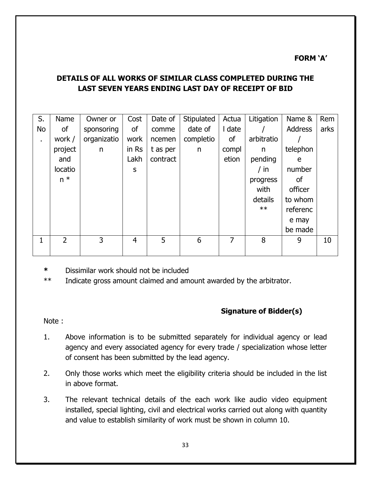#### **FORM 'A'**

#### **DETAILS OF ALL WORKS OF SIMILAR CLASS COMPLETED DURING THE LAST SEVEN YEARS ENDING LAST DAY OF RECEIPT OF BID**

| S. | Name           | Owner or    | Cost           | Date of  | Stipulated | Actua          | Litigation | Name &         | Rem  |
|----|----------------|-------------|----------------|----------|------------|----------------|------------|----------------|------|
| No | οf             | sponsoring  | of             | comme    | date of    | I date         |            | <b>Address</b> | arks |
| ×. | work /         | organizatio | work           | ncemen   | completio  | of             | arbitratio |                |      |
|    | project        | n           | in Rs          | t as per | n          | compl          | n          | telephon       |      |
|    | and            |             | Lakh           | contract |            | etion          | pending    | e              |      |
|    | locatio        |             | S              |          |            |                | / in       | number         |      |
|    | $n *$          |             |                |          |            |                | progress   | 0f             |      |
|    |                |             |                |          |            |                | with       | officer        |      |
|    |                |             |                |          |            |                | details    | to whom        |      |
|    |                |             |                |          |            |                | $**$       | referenc       |      |
|    |                |             |                |          |            |                |            | e may          |      |
|    |                |             |                |          |            |                |            | be made        |      |
| 1  | $\overline{2}$ | 3           | $\overline{4}$ | 5        | 6          | $\overline{7}$ | 8          | 9              | 10   |
|    |                |             |                |          |            |                |            |                |      |

**\*** Dissimilar work should not be included

\*\* Indicate gross amount claimed and amount awarded by the arbitrator.

#### **Signature of Bidder(s)**

Note :

- 1. Above information is to be submitted separately for individual agency or lead agency and every associated agency for every trade / specialization whose letter of consent has been submitted by the lead agency.
- 2. Only those works which meet the eligibility criteria should be included in the list in above format.
- 3. The relevant technical details of the each work like audio video equipment installed, special lighting, civil and electrical works carried out along with quantity and value to establish similarity of work must be shown in column 10.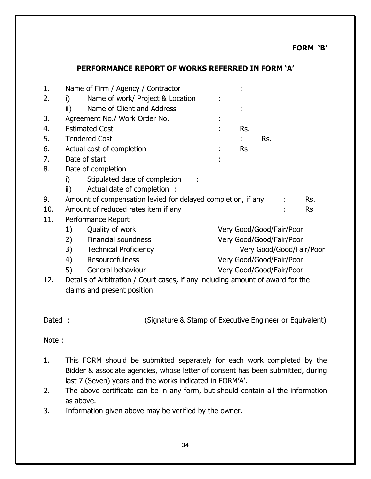#### **FORM 'B'**

#### **PERFORMANCE REPORT OF WORKS REFERRED IN FORM 'A'**

| 1.  |     | Name of Firm / Agency / Contractor                                             |                          |     |                          |
|-----|-----|--------------------------------------------------------------------------------|--------------------------|-----|--------------------------|
| 2.  | i)  | Name of work/ Project & Location                                               |                          |     |                          |
|     | ii) | Name of Client and Address                                                     |                          |     |                          |
| 3.  |     | Agreement No./ Work Order No.                                                  |                          |     |                          |
| 4.  |     | <b>Estimated Cost</b>                                                          | Rs.                      |     |                          |
| 5.  |     | <b>Tendered Cost</b>                                                           |                          | Rs. |                          |
| 6.  |     | Actual cost of completion                                                      | <b>Rs</b>                |     |                          |
| 7.  |     | Date of start                                                                  |                          |     |                          |
| 8.  |     | Date of completion                                                             |                          |     |                          |
|     | i)  | Stipulated date of completion                                                  |                          |     |                          |
|     | ii) | Actual date of completion :                                                    |                          |     |                          |
| 9.  |     | Amount of compensation levied for delayed completion, if any                   |                          |     | Rs.                      |
| 10. |     | Amount of reduced rates item if any                                            |                          |     | <b>Rs</b>                |
| 11. |     | Performance Report                                                             |                          |     |                          |
|     | 1)  | Quality of work                                                                | Very Good/Good/Fair/Poor |     |                          |
|     | 2)  | <b>Financial soundness</b>                                                     | Very Good/Good/Fair/Poor |     |                          |
|     | 3)  | <b>Technical Proficiency</b>                                                   |                          |     | Very Good/Good/Fair/Poor |
|     | 4)  | <b>Resourcefulness</b>                                                         | Very Good/Good/Fair/Poor |     |                          |
|     | 5)  | General behaviour                                                              | Very Good/Good/Fair/Poor |     |                          |
| 12. |     | Details of Arbitration / Court cases, if any including amount of award for the |                          |     |                          |
|     |     | claims and present position                                                    |                          |     |                          |

Dated : (Signature & Stamp of Executive Engineer or Equivalent)

Note :

- 1. This FORM should be submitted separately for each work completed by the Bidder & associate agencies, whose letter of consent has been submitted, during last 7 (Seven) years and the works indicated in FORM'A'.
- 2. The above certificate can be in any form, but should contain all the information as above.
- 3. Information given above may be verified by the owner.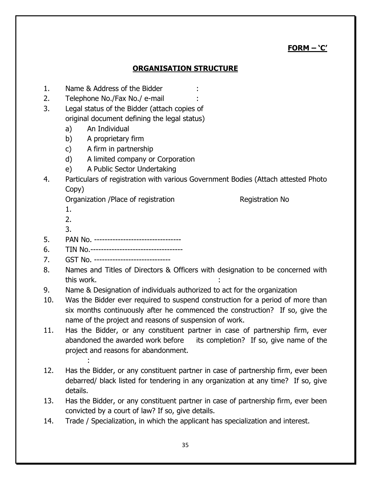#### **FORM – 'C'**

#### **ORGANISATION STRUCTURE**

- 1. Name & Address of the Bidder :
- 2. Telephone No./Fax No./ e-mail
- 3. Legal status of the Bidder (attach copies of original document defining the legal status)
	- a) An Individual
	- b) A proprietary firm
	- c) A firm in partnership
	- d) A limited company or Corporation
	- e) A Public Sector Undertaking
- 4. Particulars of registration with various Government Bodies (Attach attested Photo Copy)

Organization /Place of registration delay and registration No

- 1.
- 2.
- 3.
- 5. PAN No. ---------------------------------
- 6. TIN No.-----------------------------------
- 7. GST No. -----------------------------

:

- 8. Names and Titles of Directors & Officers with designation to be concerned with this work.
- 9. Name & Designation of individuals authorized to act for the organization
- 10. Was the Bidder ever required to suspend construction for a period of more than six months continuously after he commenced the construction? If so, give the name of the project and reasons of suspension of work.
- 11. Has the Bidder, or any constituent partner in case of partnership firm, ever abandoned the awarded work before its completion? If so, give name of the project and reasons for abandonment.
- 12. Has the Bidder, or any constituent partner in case of partnership firm, ever been debarred/ black listed for tendering in any organization at any time? If so, give details.
- 13. Has the Bidder, or any constituent partner in case of partnership firm, ever been convicted by a court of law? If so, give details.
- 14. Trade / Specialization, in which the applicant has specialization and interest.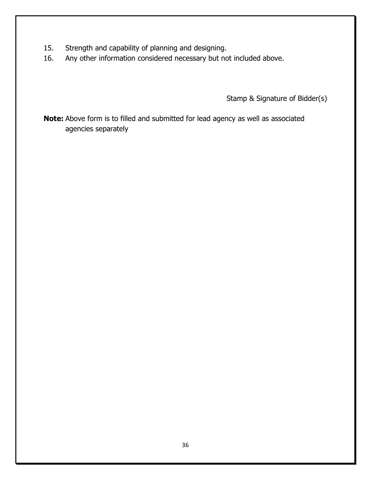- 15. Strength and capability of planning and designing.
- 16. Any other information considered necessary but not included above.

Stamp & Signature of Bidder(s)

**Note:** Above form is to filled and submitted for lead agency as well as associated agencies separately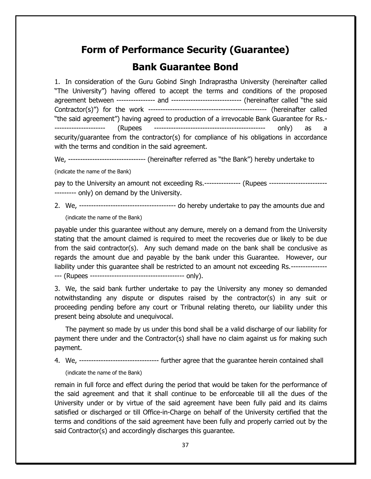## **Form of Performance Security (Guarantee)**

### **Bank Guarantee Bond**

1. In consideration of the Guru Gobind Singh Indraprastha University (hereinafter called "The University") having offered to accept the terms and conditions of the proposed agreement between ---------------- and ----------------------------- (hereinafter called "the said Contractor(s)") for the work ------------------------------------------------- (hereinafter called "the said agreement") having agreed to production of a irrevocable Bank Guarantee for Rs.- --------------------- (Rupees ---------------------------------------------- only) as a security/guarantee from the contractor(s) for compliance of his obligations in accordance with the terms and condition in the said agreement.

We, --------------------------------- (hereinafter referred as "the Bank") hereby undertake to

(indicate the name of the Bank)

pay to the University an amount not exceeding Rs.--------------- (Rupees --------------------- only) on demand by the University.

2. We, ---------------------------------------- do hereby undertake to pay the amounts due and (indicate the name of the Bank)

payable under this guarantee without any demure, merely on a demand from the University stating that the amount claimed is required to meet the recoveries due or likely to be due from the said contractor(s). Any such demand made on the bank shall be conclusive as regards the amount due and payable by the bank under this Guarantee. However, our liability under this guarantee shall be restricted to an amount not exceeding Rs.--------------- --- (Rupees --------------------------------------- only).

3. We, the said bank further undertake to pay the University any money so demanded notwithstanding any dispute or disputes raised by the contractor(s) in any suit or proceeding pending before any court or Tribunal relating thereto, our liability under this present being absolute and unequivocal.

The payment so made by us under this bond shall be a valid discharge of our liability for payment there under and the Contractor(s) shall have no claim against us for making such payment.

4. We, --------------------------------- further agree that the guarantee herein contained shall

(indicate the name of the Bank)

remain in full force and effect during the period that would be taken for the performance of the said agreement and that it shall continue to be enforceable till all the dues of the University under or by virtue of the said agreement have been fully paid and its claims satisfied or discharged or till Office-in-Charge on behalf of the University certified that the terms and conditions of the said agreement have been fully and properly carried out by the said Contractor(s) and accordingly discharges this guarantee.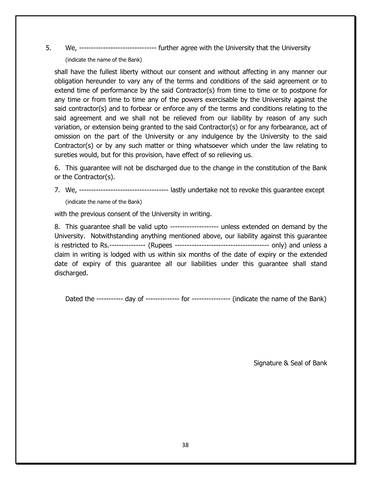5. We, -------------------------------- further agree with the University that the University

(indicate the name of the Bank)

shall have the fullest liberty without our consent and without affecting in any manner our obligation hereunder to vary any of the terms and conditions of the said agreement or to extend time of performance by the said Contractor(s) from time to time or to postpone for any time or from time to time any of the powers exercisable by the University against the said contractor(s) and to forbear or enforce any of the terms and conditions relating to the said agreement and we shall not be relieved from our liability by reason of any such variation, or extension being granted to the said Contractor(s) or for any forbearance, act of omission on the part of the University or any indulgence by the University to the said Contractor(s) or by any such matter or thing whatsoever which under the law relating to sureties would, but for this provision, have effect of so relieving us.

6. This guarantee will not be discharged due to the change in the constitution of the Bank or the Contractor(s).

7. We, ------------------------------------- lastly undertake not to revoke this guarantee except (indicate the name of the Bank)

with the previous consent of the University in writing.

8. This guarantee shall be valid upto -------------------- unless extended on demand by the University. Notwithstanding anything mentioned above, our liability against this guarantee is restricted to Rs.--------------- (Rupees --------------------------------------- only) and unless a claim in writing is lodged with us within six months of the date of expiry or the extended date of expiry of this guarantee all our liabilities under this guarantee shall stand discharged.

Dated the ----------- day of -------------- for ---------------- (indicate the name of the Bank)

Signature & Seal of Bank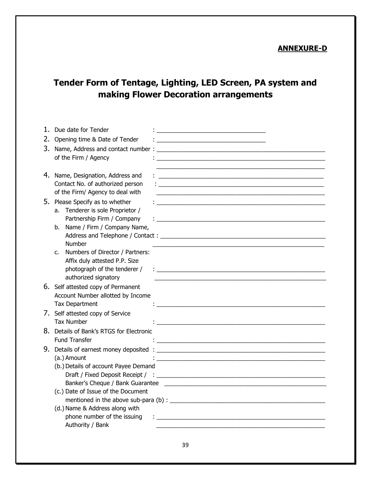#### **ANNEXURE-D**

## **Tender Form of Tentage, Lighting, LED Screen, PA system and making Flower Decoration arrangements**

| 1. | Due date for Tender<br><u> 1989 - Johann John Stone, mars eta bat eta bat eta bat eta bat eta bat eta bat eta bat eta bat eta bat eta b</u>                    |
|----|----------------------------------------------------------------------------------------------------------------------------------------------------------------|
| 2. | Opening time & Date of Tender<br><u> 1980 - Jan James James, martin amerikan basar dan berasal dalam basa dalam basar dalam basar dalam basa dala</u>          |
|    | 3. Name, Address and contact number :<br><u> 1989 - Johann Harry Harry Harry Harry Harry Harry Harry Harry Harry Harry Harry Harry Harry Harry Harry Harry</u> |
|    | of the Firm / Agency                                                                                                                                           |
|    |                                                                                                                                                                |
|    | 4. Name, Designation, Address and                                                                                                                              |
|    | Contact No. of authorized person<br><u> 1989 - Johann Stein, mars an deutscher Stein und der Stein und der Stein und der Stein und der Stein und der</u>       |
|    | of the Firm/ Agency to deal with                                                                                                                               |
|    | 5. Please Specify as to whether                                                                                                                                |
|    | a. Tenderer is sole Proprietor /                                                                                                                               |
|    | Partnership Firm / Company<br><u> 1988 - Johann John Stein, maritan basar a</u>                                                                                |
|    | Name / Firm / Company Name,<br>b.                                                                                                                              |
|    |                                                                                                                                                                |
|    | Number                                                                                                                                                         |
|    | Numbers of Director / Partners:<br>c.                                                                                                                          |
|    | Affix duly attested P.P. Size                                                                                                                                  |
|    | photograph of the tenderer /<br>the contract of the contract of the contract of the contract of the contract of                                                |
|    | authorized signatory                                                                                                                                           |
|    | 6. Self attested copy of Permanent                                                                                                                             |
|    | Account Number allotted by Income                                                                                                                              |
|    | <b>Tax Department</b>                                                                                                                                          |
|    | 7. Self attested copy of Service                                                                                                                               |
|    | <b>Tax Number</b>                                                                                                                                              |
|    | 8. Details of Bank's RTGS for Electronic                                                                                                                       |
|    | <b>Fund Transfer</b>                                                                                                                                           |
|    |                                                                                                                                                                |
|    | (a.) Amount                                                                                                                                                    |
|    | (b.) Details of account Payee Demand                                                                                                                           |
|    |                                                                                                                                                                |
|    | Banker's Cheque / Bank Guarantee                                                                                                                               |
|    | (c.) Date of Issue of the Document                                                                                                                             |
|    |                                                                                                                                                                |
|    | (d.) Name & Address along with                                                                                                                                 |
|    | phone number of the issuing                                                                                                                                    |
|    | Authority / Bank                                                                                                                                               |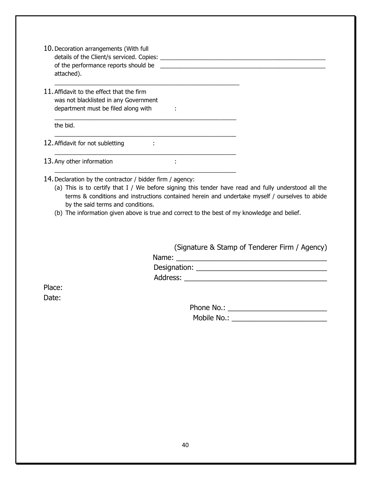| 10. Decoration arrangements (With full<br>details of the Client/s serviced. Copies:<br>of the performance reports should be |   |  |  |
|-----------------------------------------------------------------------------------------------------------------------------|---|--|--|
| attached).                                                                                                                  |   |  |  |
| 11. Affidavit to the effect that the firm<br>was not blacklisted in any Government<br>department must be filed along with   | ٠ |  |  |
| the bid.                                                                                                                    |   |  |  |
| 12. Affidavit for not subletting<br>٠                                                                                       |   |  |  |
| 13. Any other information                                                                                                   | ٠ |  |  |
|                                                                                                                             |   |  |  |

- 14.Declaration by the contractor / bidder firm / agency:
	- (a) This is to certify that I / We before signing this tender have read and fully understood all the terms & conditions and instructions contained herein and undertake myself / ourselves to abide by the said terms and conditions.
	- (b) The information given above is true and correct to the best of my knowledge and belief.

(Signature & Stamp of Tenderer Firm / Agency) Name: \_\_\_\_\_\_\_\_\_\_\_\_\_\_\_\_\_\_\_\_\_\_\_\_\_\_\_\_\_\_\_\_\_\_\_\_\_\_ Designation: \_\_\_\_\_\_\_\_\_\_\_\_\_\_\_\_\_\_\_\_\_\_\_\_\_\_\_\_\_\_\_\_\_

Address: \_\_\_\_\_\_\_\_\_\_\_\_\_\_\_\_\_\_\_\_\_\_\_\_\_\_\_\_\_\_\_\_\_\_\_\_

Place: Date:

Phone No.: \_\_\_\_\_\_\_\_\_\_\_\_\_\_\_\_\_\_\_\_\_\_\_\_\_

Mobile No.: \_\_\_\_\_\_\_\_\_\_\_\_\_\_\_\_\_\_\_\_\_\_\_\_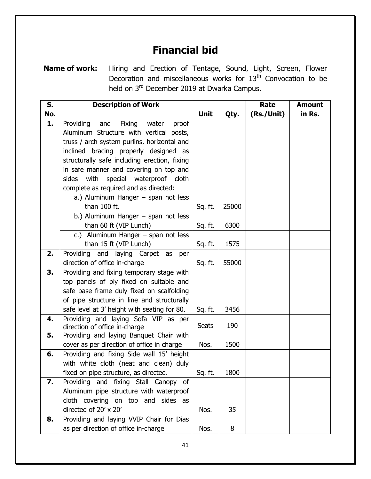## **Financial bid**

**Name of work:** Hiring and Erection of Tentage, Sound, Light, Screen, Flower Decoration and miscellaneous works for  $13<sup>th</sup>$  Convocation to be held on 3<sup>rd</sup> December 2019 at Dwarka Campus.

| S.  | <b>Description of Work</b>                                  |              |       | Rate       | <b>Amount</b> |
|-----|-------------------------------------------------------------|--------------|-------|------------|---------------|
| No. |                                                             | <b>Unit</b>  | Qty.  | (Rs./Unit) | in Rs.        |
| 1.  | Providing<br>Fixing<br>and<br>water<br>proof                |              |       |            |               |
|     | Aluminum Structure with vertical posts,                     |              |       |            |               |
|     | truss / arch system purlins, horizontal and                 |              |       |            |               |
|     | inclined bracing properly designed as                       |              |       |            |               |
|     | structurally safe including erection, fixing                |              |       |            |               |
|     | in safe manner and covering on top and                      |              |       |            |               |
|     | sides with<br>special waterproof cloth                      |              |       |            |               |
|     | complete as required and as directed:                       |              |       |            |               |
|     | a.) Aluminum Hanger $-$ span not less                       |              |       |            |               |
|     | than 100 ft.                                                | Sq. ft.      | 25000 |            |               |
|     | b.) Aluminum Hanger - span not less                         |              |       |            |               |
|     | than 60 ft (VIP Lunch)                                      | Sq. ft.      | 6300  |            |               |
|     | c.) Aluminum Hanger - span not less                         |              |       |            |               |
|     | than 15 ft (VIP Lunch)                                      | Sq. ft.      | 1575  |            |               |
| 2.  | Providing and laying Carpet as<br>per                       |              |       |            |               |
|     | direction of office in-charge                               | Sq. ft.      | 55000 |            |               |
| 3.  | Providing and fixing temporary stage with                   |              |       |            |               |
|     | top panels of ply fixed on suitable and                     |              |       |            |               |
|     | safe base frame duly fixed on scalfolding                   |              |       |            |               |
|     | of pipe structure in line and structurally                  |              |       |            |               |
|     | safe level at 3' height with seating for 80.                | Sq. ft.      | 3456  |            |               |
| 4.  | Providing and laying Sofa VIP as per                        |              |       |            |               |
|     | direction of office in-charge                               | <b>Seats</b> | 190   |            |               |
| 5.  | Providing and laying Banquet Chair with                     |              | 1500  |            |               |
|     | cover as per direction of office in charge                  | Nos.         |       |            |               |
| 6.  | Providing and fixing Side wall 15' height                   |              |       |            |               |
|     | with white cloth (neat and clean) duly                      |              |       |            |               |
|     | fixed on pipe structure, as directed.                       | Sq. ft.      | 1800  |            |               |
| 7.  | Providing and fixing Stall Canopy of                        |              |       |            |               |
|     | Aluminum pipe structure with waterproof                     |              |       |            |               |
|     | cloth covering on top and sides as<br>directed of 20' x 20' |              | 35    |            |               |
|     |                                                             | Nos.         |       |            |               |
| 8.  | Providing and laying VVIP Chair for Dias                    |              |       |            |               |
|     | as per direction of office in-charge                        | Nos.         | 8     |            |               |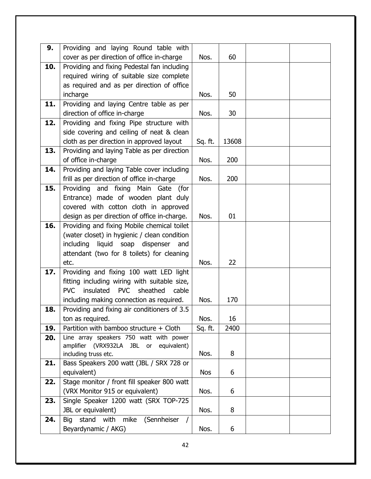| 9.  | Providing and laying Round table with           |            |       |  |
|-----|-------------------------------------------------|------------|-------|--|
|     | cover as per direction of office in-charge      | Nos.       | 60    |  |
| 10. | Providing and fixing Pedestal fan including     |            |       |  |
|     | required wiring of suitable size complete       |            |       |  |
|     | as required and as per direction of office      |            |       |  |
|     | incharge                                        | Nos.       | 50    |  |
| 11. | Providing and laying Centre table as per        |            |       |  |
|     | direction of office in-charge                   | Nos.       | 30    |  |
| 12. | Providing and fixing Pipe structure with        |            |       |  |
|     | side covering and ceiling of neat & clean       |            |       |  |
|     | cloth as per direction in approved layout       | Sq. ft.    | 13608 |  |
| 13. | Providing and laying Table as per direction     |            |       |  |
|     | of office in-charge                             | Nos.       | 200   |  |
| 14. | Providing and laying Table cover including      |            |       |  |
|     | frill as per direction of office in-charge      | Nos.       | 200   |  |
| 15. | Providing and fixing Main Gate (for             |            |       |  |
|     | Entrance) made of wooden plant duly             |            |       |  |
|     | covered with cotton cloth in approved           |            |       |  |
|     | design as per direction of office in-charge.    | Nos.       | 01    |  |
| 16. | Providing and fixing Mobile chemical toilet     |            |       |  |
|     | (water closet) in hygienic / clean condition    |            |       |  |
|     | including<br>liquid soap dispenser<br>and       |            |       |  |
|     | attendant (two for 8 toilets) for cleaning      |            |       |  |
| 17. | etc.<br>Providing and fixing 100 watt LED light | Nos.       | 22    |  |
|     | fitting including wiring with suitable size,    |            |       |  |
|     | <b>PVC</b><br>insulated PVC sheathed<br>cable   |            |       |  |
|     | including making connection as required.        | Nos.       | 170   |  |
| 18. | Providing and fixing air conditioners of 3.5    |            |       |  |
|     | ton as required.                                | Nos.       | 16    |  |
| 19. | Partition with bamboo structure + Cloth         | Sq. ft.    | 2400  |  |
| 20. | Line array speakers 750 watt with power         |            |       |  |
|     | amplifier (VRX932LA JBL or equivalent)          |            |       |  |
|     | including truss etc.                            | Nos.       | 8     |  |
| 21. | Bass Speakers 200 watt (JBL / SRX 728 or        |            |       |  |
|     | equivalent)                                     | <b>Nos</b> | 6     |  |
| 22. | Stage monitor / front fill speaker 800 watt     |            |       |  |
|     | (VRX Monitor 915 or equivalent)                 | Nos.       | 6     |  |
| 23. | Single Speaker 1200 watt (SRX TOP-725           |            |       |  |
|     | JBL or equivalent)                              | Nos.       | 8     |  |
| 24. | (Sennheiser /<br>stand with<br>mike<br>Big      |            |       |  |
|     | Beyardynamic / AKG)                             | Nos.       | 6     |  |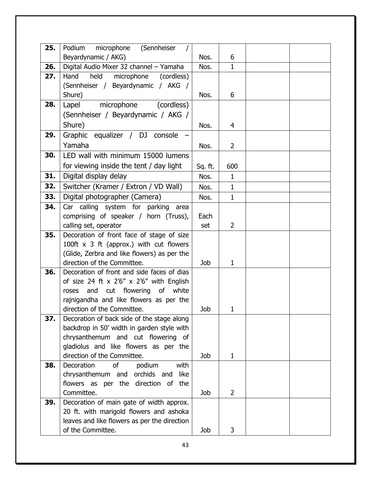| 25. | microphone<br>Podium<br>(Sennheiser                                    |         |                |  |
|-----|------------------------------------------------------------------------|---------|----------------|--|
|     | Beyardynamic / AKG)                                                    | Nos.    | 6              |  |
| 26. | Digital Audio Mixer 32 channel - Yamaha                                | Nos.    | $\mathbf{1}$   |  |
| 27. | Hand<br>held<br>microphone (cordless)                                  |         |                |  |
|     | (Sennheiser / Beyardynamic / AKG /                                     |         |                |  |
|     | Shure)                                                                 | Nos.    | 6              |  |
| 28. | microphone<br>(cordless)<br>Lapel                                      |         |                |  |
|     | (Sennheiser / Beyardynamic / AKG /                                     |         |                |  |
|     | Shure)                                                                 | Nos.    | $\overline{4}$ |  |
| 29. | Graphic equalizer / DJ console                                         |         |                |  |
|     | Yamaha                                                                 | Nos.    | $\overline{2}$ |  |
| 30. | LED wall with minimum 15000 lumens                                     |         |                |  |
|     | for viewing inside the tent / day light                                | Sq. ft. | 600            |  |
| 31. | Digital display delay                                                  | Nos.    | $\mathbf 1$    |  |
| 32. | Switcher (Kramer / Extron / VD Wall)                                   | Nos.    | $\mathbf{1}$   |  |
| 33. | Digital photographer (Camera)                                          | Nos.    | $\mathbf{1}$   |  |
| 34. | Car calling system for parking area                                    |         |                |  |
|     | comprising of speaker / horn (Truss),                                  | Each    |                |  |
|     | calling set, operator                                                  | set     | $\overline{2}$ |  |
| 35. | Decoration of front face of stage of size                              |         |                |  |
|     | 100ft $x$ 3 ft (approx.) with cut flowers                              |         |                |  |
|     | (Glide, Zerbra and like flowers) as per the                            |         |                |  |
|     | direction of the Committee.                                            | Job     | $\mathbf{1}$   |  |
| 36. | Decoration of front and side faces of dias                             |         |                |  |
|     | of size 24 ft x $2'6''$ x $2'6''$ with English                         |         |                |  |
|     | and cut flowering of white<br>roses                                    |         |                |  |
|     | rajnigandha and like flowers as per the<br>direction of the Committee. | Job     | 1              |  |
| 37. | Decoration of back side of the stage along                             |         |                |  |
|     | backdrop in 50' width in garden style with                             |         |                |  |
|     | chrysanthemum and cut flowering of                                     |         |                |  |
|     | gladiolus and like flowers as per the                                  |         |                |  |
|     | direction of the Committee.                                            | Job     | $\mathbf{1}$   |  |
| 38. | of<br>Decoration<br>podium<br>with                                     |         |                |  |
|     | chrysanthemum and orchids and<br>like                                  |         |                |  |
|     | flowers as per the<br>direction of the                                 |         |                |  |
|     | Committee.                                                             | Job     | $\overline{2}$ |  |
| 39. | Decoration of main gate of width approx.                               |         |                |  |
|     | 20 ft. with marigold flowers and ashoka                                |         |                |  |
|     | leaves and like flowers as per the direction                           |         |                |  |
|     | of the Committee.                                                      | Job     | 3              |  |